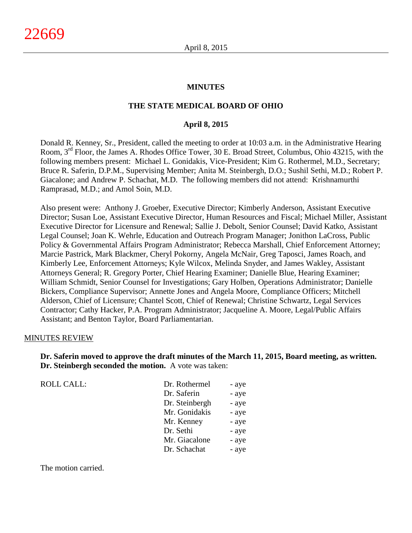### **MINUTES**

### **THE STATE MEDICAL BOARD OF OHIO**

### **April 8, 2015**

Donald R. Kenney, Sr., President, called the meeting to order at 10:03 a.m. in the Administrative Hearing Room, 3<sup>rd</sup> Floor, the James A. Rhodes Office Tower, 30 E. Broad Street, Columbus, Ohio 43215, with the following members present: Michael L. Gonidakis, Vice-President; Kim G. Rothermel, M.D., Secretary; Bruce R. Saferin, D.P.M., Supervising Member; Anita M. Steinbergh, D.O.; Sushil Sethi, M.D.; Robert P. Giacalone; and Andrew P. Schachat, M.D. The following members did not attend: Krishnamurthi Ramprasad, M.D.; and Amol Soin, M.D.

Also present were: Anthony J. Groeber, Executive Director; Kimberly Anderson, Assistant Executive Director; Susan Loe, Assistant Executive Director, Human Resources and Fiscal; Michael Miller, Assistant Executive Director for Licensure and Renewal; Sallie J. Debolt, Senior Counsel; David Katko, Assistant Legal Counsel; Joan K. Wehrle, Education and Outreach Program Manager; Jonithon LaCross, Public Policy & Governmental Affairs Program Administrator; Rebecca Marshall, Chief Enforcement Attorney; Marcie Pastrick, Mark Blackmer, Cheryl Pokorny, Angela McNair, Greg Taposci, James Roach, and Kimberly Lee, Enforcement Attorneys; Kyle Wilcox, Melinda Snyder, and James Wakley, Assistant Attorneys General; R. Gregory Porter, Chief Hearing Examiner; Danielle Blue, Hearing Examiner; William Schmidt, Senior Counsel for Investigations; Gary Holben, Operations Administrator; Danielle Bickers, Compliance Supervisor; Annette Jones and Angela Moore, Compliance Officers; Mitchell Alderson, Chief of Licensure; Chantel Scott, Chief of Renewal; Christine Schwartz, Legal Services Contractor; Cathy Hacker, P.A. Program Administrator; Jacqueline A. Moore, Legal/Public Affairs Assistant; and Benton Taylor, Board Parliamentarian.

#### MINUTES REVIEW

**Dr. Saferin moved to approve the draft minutes of the March 11, 2015, Board meeting, as written. Dr. Steinbergh seconded the motion.** A vote was taken:

> Mr. Giacalone - aye Dr. Schachat - aye

| <b>ROLL CALL:</b> | Dr. Rothermel  | - aye |
|-------------------|----------------|-------|
|                   | Dr. Saferin    | - aye |
|                   | Dr. Steinbergh | - aye |
|                   | Mr. Gonidakis  | - aye |
|                   | Mr. Kenney     | - aye |
|                   | Dr. Sethi      | - aye |

The motion carried.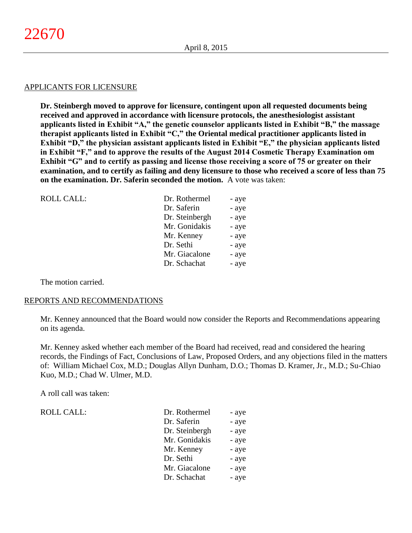#### APPLICANTS FOR LICENSURE

**Dr. Steinbergh moved to approve for licensure, contingent upon all requested documents being received and approved in accordance with licensure protocols, the anesthesiologist assistant applicants listed in Exhibit "A," the genetic counselor applicants listed in Exhibit "B," the massage therapist applicants listed in Exhibit "C," the Oriental medical practitioner applicants listed in Exhibit "D," the physician assistant applicants listed in Exhibit "E," the physician applicants listed in Exhibit "F," and to approve the results of the August 2014 Cosmetic Therapy Examination om Exhibit "G" and to certify as passing and license those receiving a score of 75 or greater on their examination, and to certify as failing and deny licensure to those who received a score of less than 75 on the examination. Dr. Saferin seconded the motion.** A vote was taken:

| <b>ROLL CALL:</b> | Dr. Rothermel  | - aye |
|-------------------|----------------|-------|
|                   | Dr. Saferin    | - aye |
|                   | Dr. Steinbergh | - aye |
|                   | Mr. Gonidakis  | - aye |
|                   | Mr. Kenney     | - aye |
|                   | Dr. Sethi      | - aye |
|                   | Mr. Giacalone  | - aye |
|                   | Dr. Schachat   | - aye |
|                   |                |       |

The motion carried.

#### REPORTS AND RECOMMENDATIONS

Mr. Kenney announced that the Board would now consider the Reports and Recommendations appearing on its agenda.

Mr. Kenney asked whether each member of the Board had received, read and considered the hearing records, the Findings of Fact, Conclusions of Law, Proposed Orders, and any objections filed in the matters of: William Michael Cox, M.D.; Douglas Allyn Dunham, D.O.; Thomas D. Kramer, Jr., M.D.; Su-Chiao Kuo, M.D.; Chad W. Ulmer, M.D.

A roll call was taken:

| ROLL CALL: |  |
|------------|--|
|            |  |

| Dr. Saferin    | - aye<br>- aye |
|----------------|----------------|
|                |                |
| Dr. Steinbergh | - aye          |
| Mr. Gonidakis  | - aye          |
| Mr. Kenney     | - aye          |
| Dr. Sethi      | - aye          |
| Mr. Giacalone  | - aye          |
| Dr. Schachat   | - aye          |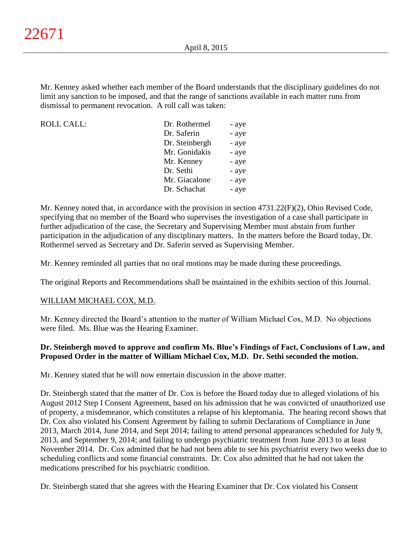Mr. Kenney asked whether each member of the Board understands that the disciplinary guidelines do not limit any sanction to be imposed, and that the range of sanctions available in each matter runs from dismissal to permanent revocation. A roll call was taken:

| <b>ROLL CALL:</b> | Dr. Rothermel  | - aye |
|-------------------|----------------|-------|
|                   | Dr. Saferin    | - aye |
|                   | Dr. Steinbergh | - aye |
|                   | Mr. Gonidakis  | - aye |
|                   | Mr. Kenney     | - aye |
|                   | Dr. Sethi      | - aye |
|                   | Mr. Giacalone  | - aye |
|                   | Dr. Schachat   | - aye |
|                   |                |       |

Mr. Kenney noted that, in accordance with the provision in section 4731.22(F)(2), Ohio Revised Code, specifying that no member of the Board who supervises the investigation of a case shall participate in further adjudication of the case, the Secretary and Supervising Member must abstain from further participation in the adjudication of any disciplinary matters. In the matters before the Board today, Dr. Rothermel served as Secretary and Dr. Saferin served as Supervising Member.

Mr. Kenney reminded all parties that no oral motions may be made during these proceedings.

The original Reports and Recommendations shall be maintained in the exhibits section of this Journal.

### WILLIAM MICHAEL COX, M.D.

Mr. Kenney directed the Board's attention to the matter of William Michael Cox, M.D. No objections were filed. Ms. Blue was the Hearing Examiner.

# **Dr. Steinbergh moved to approve and confirm Ms. Blue's Findings of Fact, Conclusions of Law, and Proposed Order in the matter of William Michael Cox, M.D. Dr. Sethi seconded the motion.**

Mr. Kenney stated that he will now entertain discussion in the above matter.

Dr. Steinbergh stated that the matter of Dr. Cox is before the Board today due to alleged violations of his August 2012 Step I Consent Agreement, based on his admission that he was convicted of unauthorized use of property, a misdemeanor, which constitutes a relapse of his kleptomania. The hearing record shows that Dr. Cox also violated his Consent Agreement by failing to submit Declarations of Compliance in June 2013, March 2014, June 2014, and Sept 2014; failing to attend personal appearances scheduled for July 9, 2013, and September 9, 2014; and failing to undergo psychiatric treatment from June 2013 to at least November 2014. Dr. Cox admitted that he had not been able to see his psychiatrist every two weeks due to scheduling conflicts and some financial constraints. Dr. Cox also admitted that he had not taken the medications prescribed for his psychiatric condition.

Dr. Steinbergh stated that she agrees with the Hearing Examiner that Dr. Cox violated his Consent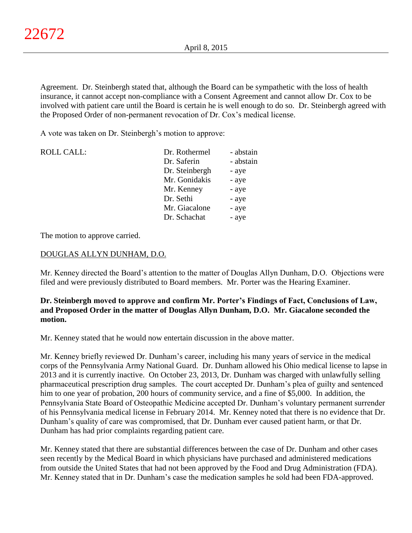Agreement. Dr. Steinbergh stated that, although the Board can be sympathetic with the loss of health insurance, it cannot accept non-compliance with a Consent Agreement and cannot allow Dr. Cox to be involved with patient care until the Board is certain he is well enough to do so. Dr. Steinbergh agreed with the Proposed Order of non-permanent revocation of Dr. Cox's medical license.

A vote was taken on Dr. Steinbergh's motion to approve:

| <b>ROLL CALL:</b> | Dr. Rothermel  | - abstain |
|-------------------|----------------|-----------|
|                   | Dr. Saferin    | - abstain |
|                   | Dr. Steinbergh | - aye     |
|                   | Mr. Gonidakis  | - aye     |
|                   | Mr. Kenney     | - aye     |
|                   | Dr. Sethi      | - aye     |
|                   | Mr. Giacalone  | - aye     |
|                   | Dr. Schachat   | - aye     |

The motion to approve carried.

### DOUGLAS ALLYN DUNHAM, D.O.

Mr. Kenney directed the Board's attention to the matter of Douglas Allyn Dunham, D.O. Objections were filed and were previously distributed to Board members. Mr. Porter was the Hearing Examiner.

# **Dr. Steinbergh moved to approve and confirm Mr. Porter's Findings of Fact, Conclusions of Law, and Proposed Order in the matter of Douglas Allyn Dunham, D.O. Mr. Giacalone seconded the motion.**

Mr. Kenney stated that he would now entertain discussion in the above matter.

Mr. Kenney briefly reviewed Dr. Dunham's career, including his many years of service in the medical corps of the Pennsylvania Army National Guard. Dr. Dunham allowed his Ohio medical license to lapse in 2013 and it is currently inactive. On October 23, 2013, Dr. Dunham was charged with unlawfully selling pharmaceutical prescription drug samples. The court accepted Dr. Dunham's plea of guilty and sentenced him to one year of probation, 200 hours of community service, and a fine of \$5,000. In addition, the Pennsylvania State Board of Osteopathic Medicine accepted Dr. Dunham's voluntary permanent surrender of his Pennsylvania medical license in February 2014. Mr. Kenney noted that there is no evidence that Dr. Dunham's quality of care was compromised, that Dr. Dunham ever caused patient harm, or that Dr. Dunham has had prior complaints regarding patient care.

Mr. Kenney stated that there are substantial differences between the case of Dr. Dunham and other cases seen recently by the Medical Board in which physicians have purchased and administered medications from outside the United States that had not been approved by the Food and Drug Administration (FDA). Mr. Kenney stated that in Dr. Dunham's case the medication samples he sold had been FDA-approved.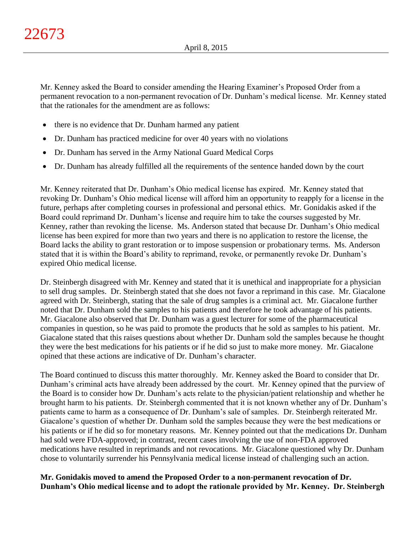Mr. Kenney asked the Board to consider amending the Hearing Examiner's Proposed Order from a permanent revocation to a non-permanent revocation of Dr. Dunham's medical license. Mr. Kenney stated that the rationales for the amendment are as follows:

- there is no evidence that Dr. Dunham harmed any patient
- Dr. Dunham has practiced medicine for over 40 years with no violations
- Dr. Dunham has served in the Army National Guard Medical Corps
- Dr. Dunham has already fulfilled all the requirements of the sentence handed down by the court

Mr. Kenney reiterated that Dr. Dunham's Ohio medical license has expired. Mr. Kenney stated that revoking Dr. Dunham's Ohio medical license will afford him an opportunity to reapply for a license in the future, perhaps after completing courses in professional and personal ethics. Mr. Gonidakis asked if the Board could reprimand Dr. Dunham's license and require him to take the courses suggested by Mr. Kenney, rather than revoking the license. Ms. Anderson stated that because Dr. Dunham's Ohio medical license has been expired for more than two years and there is no application to restore the license, the Board lacks the ability to grant restoration or to impose suspension or probationary terms. Ms. Anderson stated that it is within the Board's ability to reprimand, revoke, or permanently revoke Dr. Dunham's expired Ohio medical license.

Dr. Steinbergh disagreed with Mr. Kenney and stated that it is unethical and inappropriate for a physician to sell drug samples. Dr. Steinbergh stated that she does not favor a reprimand in this case. Mr. Giacalone agreed with Dr. Steinbergh, stating that the sale of drug samples is a criminal act. Mr. Giacalone further noted that Dr. Dunham sold the samples to his patients and therefore he took advantage of his patients. Mr. Giacalone also observed that Dr. Dunham was a guest lecturer for some of the pharmaceutical companies in question, so he was paid to promote the products that he sold as samples to his patient. Mr. Giacalone stated that this raises questions about whether Dr. Dunham sold the samples because he thought they were the best medications for his patients or if he did so just to make more money. Mr. Giacalone opined that these actions are indicative of Dr. Dunham's character.

The Board continued to discuss this matter thoroughly. Mr. Kenney asked the Board to consider that Dr. Dunham's criminal acts have already been addressed by the court. Mr. Kenney opined that the purview of the Board is to consider how Dr. Dunham's acts relate to the physician/patient relationship and whether he brought harm to his patients. Dr. Steinbergh commented that it is not known whether any of Dr. Dunham's patients came to harm as a consequence of Dr. Dunham's sale of samples. Dr. Steinbergh reiterated Mr. Giacalone's question of whether Dr. Dunham sold the samples because they were the best medications or his patients or if he did so for monetary reasons. Mr. Kenney pointed out that the medications Dr. Dunham had sold were FDA-approved; in contrast, recent cases involving the use of non-FDA approved medications have resulted in reprimands and not revocations. Mr. Giacalone questioned why Dr. Dunham chose to voluntarily surrender his Pennsylvania medical license instead of challenging such an action.

**Mr. Gonidakis moved to amend the Proposed Order to a non-permanent revocation of Dr. Dunham's Ohio medical license and to adopt the rationale provided by Mr. Kenney. Dr. Steinbergh**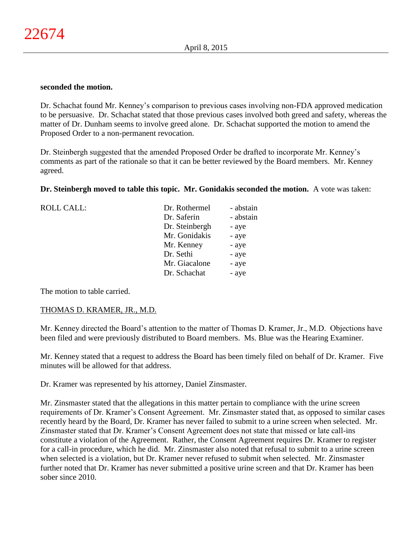#### **seconded the motion.**

Dr. Schachat found Mr. Kenney's comparison to previous cases involving non-FDA approved medication to be persuasive. Dr. Schachat stated that those previous cases involved both greed and safety, whereas the matter of Dr. Dunham seems to involve greed alone. Dr. Schachat supported the motion to amend the Proposed Order to a non-permanent revocation.

Dr. Steinbergh suggested that the amended Proposed Order be drafted to incorporate Mr. Kenney's comments as part of the rationale so that it can be better reviewed by the Board members. Mr. Kenney agreed.

### **Dr. Steinbergh moved to table this topic. Mr. Gonidakis seconded the motion.** A vote was taken:

| <b>ROLL CALL:</b> | Dr. Rothermel  | - abstain |
|-------------------|----------------|-----------|
|                   | Dr. Saferin    | - abstain |
|                   | Dr. Steinbergh | - aye     |
|                   | Mr. Gonidakis  | - aye     |
|                   | Mr. Kenney     | - aye     |
|                   | Dr. Sethi      | - aye     |
|                   | Mr. Giacalone  | - aye     |
|                   | Dr. Schachat   | - aye     |
|                   |                |           |

The motion to table carried.

#### THOMAS D. KRAMER, JR., M.D.

Mr. Kenney directed the Board's attention to the matter of Thomas D. Kramer, Jr., M.D. Objections have been filed and were previously distributed to Board members. Ms. Blue was the Hearing Examiner.

Mr. Kenney stated that a request to address the Board has been timely filed on behalf of Dr. Kramer. Five minutes will be allowed for that address.

Dr. Kramer was represented by his attorney, Daniel Zinsmaster.

Mr. Zinsmaster stated that the allegations in this matter pertain to compliance with the urine screen requirements of Dr. Kramer's Consent Agreement. Mr. Zinsmaster stated that, as opposed to similar cases recently heard by the Board, Dr. Kramer has never failed to submit to a urine screen when selected. Mr. Zinsmaster stated that Dr. Kramer's Consent Agreement does not state that missed or late call-ins constitute a violation of the Agreement. Rather, the Consent Agreement requires Dr. Kramer to register for a call-in procedure, which he did. Mr. Zinsmaster also noted that refusal to submit to a urine screen when selected is a violation, but Dr. Kramer never refused to submit when selected. Mr. Zinsmaster further noted that Dr. Kramer has never submitted a positive urine screen and that Dr. Kramer has been sober since 2010.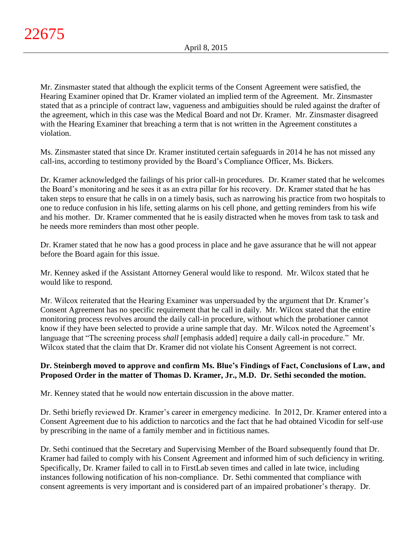Mr. Zinsmaster stated that although the explicit terms of the Consent Agreement were satisfied, the Hearing Examiner opined that Dr. Kramer violated an implied term of the Agreement. Mr. Zinsmaster stated that as a principle of contract law, vagueness and ambiguities should be ruled against the drafter of the agreement, which in this case was the Medical Board and not Dr. Kramer. Mr. Zinsmaster disagreed with the Hearing Examiner that breaching a term that is not written in the Agreement constitutes a violation.

Ms. Zinsmaster stated that since Dr. Kramer instituted certain safeguards in 2014 he has not missed any call-ins, according to testimony provided by the Board's Compliance Officer, Ms. Bickers.

Dr. Kramer acknowledged the failings of his prior call-in procedures. Dr. Kramer stated that he welcomes the Board's monitoring and he sees it as an extra pillar for his recovery. Dr. Kramer stated that he has taken steps to ensure that he calls in on a timely basis, such as narrowing his practice from two hospitals to one to reduce confusion in his life, setting alarms on his cell phone, and getting reminders from his wife and his mother. Dr. Kramer commented that he is easily distracted when he moves from task to task and he needs more reminders than most other people.

Dr. Kramer stated that he now has a good process in place and he gave assurance that he will not appear before the Board again for this issue.

Mr. Kenney asked if the Assistant Attorney General would like to respond. Mr. Wilcox stated that he would like to respond.

Mr. Wilcox reiterated that the Hearing Examiner was unpersuaded by the argument that Dr. Kramer's Consent Agreement has no specific requirement that he call in daily. Mr. Wilcox stated that the entire monitoring process revolves around the daily call-in procedure, without which the probationer cannot know if they have been selected to provide a urine sample that day. Mr. Wilcox noted the Agreement's language that "The screening process *shall* [emphasis added] require a daily call-in procedure." Mr. Wilcox stated that the claim that Dr. Kramer did not violate his Consent Agreement is not correct.

# **Dr. Steinbergh moved to approve and confirm Ms. Blue's Findings of Fact, Conclusions of Law, and Proposed Order in the matter of Thomas D. Kramer, Jr., M.D. Dr. Sethi seconded the motion.**

Mr. Kenney stated that he would now entertain discussion in the above matter.

Dr. Sethi briefly reviewed Dr. Kramer's career in emergency medicine. In 2012, Dr. Kramer entered into a Consent Agreement due to his addiction to narcotics and the fact that he had obtained Vicodin for self-use by prescribing in the name of a family member and in fictitious names.

Dr. Sethi continued that the Secretary and Supervising Member of the Board subsequently found that Dr. Kramer had failed to comply with his Consent Agreement and informed him of such deficiency in writing. Specifically, Dr. Kramer failed to call in to FirstLab seven times and called in late twice, including instances following notification of his non-compliance. Dr. Sethi commented that compliance with consent agreements is very important and is considered part of an impaired probationer's therapy. Dr.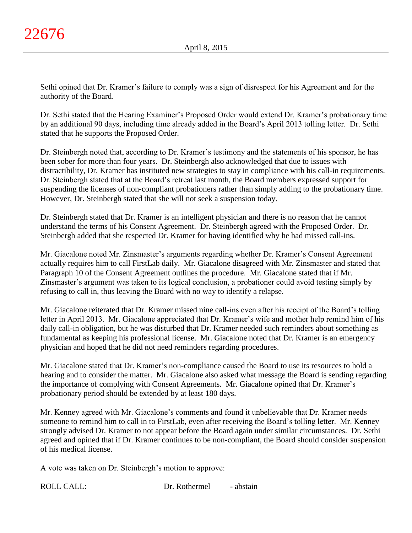Sethi opined that Dr. Kramer's failure to comply was a sign of disrespect for his Agreement and for the authority of the Board.

Dr. Sethi stated that the Hearing Examiner's Proposed Order would extend Dr. Kramer's probationary time by an additional 90 days, including time already added in the Board's April 2013 tolling letter. Dr. Sethi stated that he supports the Proposed Order.

Dr. Steinbergh noted that, according to Dr. Kramer's testimony and the statements of his sponsor, he has been sober for more than four years. Dr. Steinbergh also acknowledged that due to issues with distractibility, Dr. Kramer has instituted new strategies to stay in compliance with his call-in requirements. Dr. Steinbergh stated that at the Board's retreat last month, the Board members expressed support for suspending the licenses of non-compliant probationers rather than simply adding to the probationary time. However, Dr. Steinbergh stated that she will not seek a suspension today.

Dr. Steinbergh stated that Dr. Kramer is an intelligent physician and there is no reason that he cannot understand the terms of his Consent Agreement. Dr. Steinbergh agreed with the Proposed Order. Dr. Steinbergh added that she respected Dr. Kramer for having identified why he had missed call-ins.

Mr. Giacalone noted Mr. Zinsmaster's arguments regarding whether Dr. Kramer's Consent Agreement actually requires him to call FirstLab daily. Mr. Giacalone disagreed with Mr. Zinsmaster and stated that Paragraph 10 of the Consent Agreement outlines the procedure. Mr. Giacalone stated that if Mr. Zinsmaster's argument was taken to its logical conclusion, a probationer could avoid testing simply by refusing to call in, thus leaving the Board with no way to identify a relapse.

Mr. Giacalone reiterated that Dr. Kramer missed nine call-ins even after his receipt of the Board's tolling letter in April 2013. Mr. Giacalone appreciated that Dr. Kramer's wife and mother help remind him of his daily call-in obligation, but he was disturbed that Dr. Kramer needed such reminders about something as fundamental as keeping his professional license. Mr. Giacalone noted that Dr. Kramer is an emergency physician and hoped that he did not need reminders regarding procedures.

Mr. Giacalone stated that Dr. Kramer's non-compliance caused the Board to use its resources to hold a hearing and to consider the matter. Mr. Giacalone also asked what message the Board is sending regarding the importance of complying with Consent Agreements. Mr. Giacalone opined that Dr. Kramer's probationary period should be extended by at least 180 days.

Mr. Kenney agreed with Mr. Giacalone's comments and found it unbelievable that Dr. Kramer needs someone to remind him to call in to FirstLab, even after receiving the Board's tolling letter. Mr. Kenney strongly advised Dr. Kramer to not appear before the Board again under similar circumstances. Dr. Sethi agreed and opined that if Dr. Kramer continues to be non-compliant, the Board should consider suspension of his medical license.

A vote was taken on Dr. Steinbergh's motion to approve: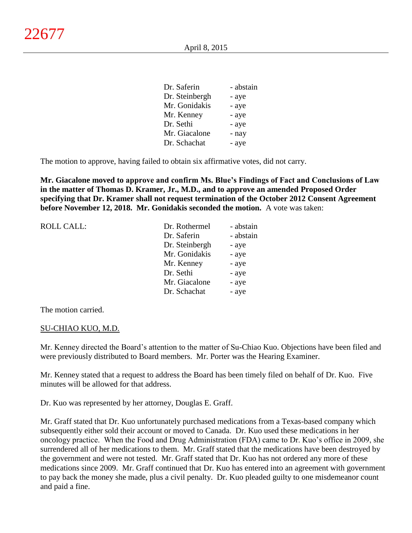| Dr. Saferin    | - abstain |
|----------------|-----------|
| Dr. Steinbergh | - aye     |
| Mr. Gonidakis  | - aye     |
| Mr. Kenney     | - aye     |
| Dr. Sethi      | - aye     |
| Mr. Giacalone  | - nay     |
| Dr. Schachat   | - aye     |
|                |           |

The motion to approve, having failed to obtain six affirmative votes, did not carry.

**Mr. Giacalone moved to approve and confirm Ms. Blue's Findings of Fact and Conclusions of Law in the matter of Thomas D. Kramer, Jr., M.D., and to approve an amended Proposed Order specifying that Dr. Kramer shall not request termination of the October 2012 Consent Agreement before November 12, 2018. Mr. Gonidakis seconded the motion.** A vote was taken:

| <b>ROLL CALL:</b> | Dr. Rothermel  | - abstain |
|-------------------|----------------|-----------|
|                   | Dr. Saferin    | - abstain |
|                   | Dr. Steinbergh | - aye     |
|                   | Mr. Gonidakis  | - aye     |
|                   | Mr. Kenney     | - aye     |
|                   | Dr. Sethi      | - aye     |
|                   | Mr. Giacalone  | - aye     |
|                   | Dr. Schachat   | - aye     |
|                   |                |           |

The motion carried.

### SU-CHIAO KUO, M.D.

Mr. Kenney directed the Board's attention to the matter of Su-Chiao Kuo. Objections have been filed and were previously distributed to Board members. Mr. Porter was the Hearing Examiner.

Mr. Kenney stated that a request to address the Board has been timely filed on behalf of Dr. Kuo. Five minutes will be allowed for that address.

Dr. Kuo was represented by her attorney, Douglas E. Graff.

Mr. Graff stated that Dr. Kuo unfortunately purchased medications from a Texas-based company which subsequently either sold their account or moved to Canada. Dr. Kuo used these medications in her oncology practice. When the Food and Drug Administration (FDA) came to Dr. Kuo's office in 2009, she surrendered all of her medications to them. Mr. Graff stated that the medications have been destroyed by the government and were not tested. Mr. Graff stated that Dr. Kuo has not ordered any more of these medications since 2009. Mr. Graff continued that Dr. Kuo has entered into an agreement with government to pay back the money she made, plus a civil penalty. Dr. Kuo pleaded guilty to one misdemeanor count and paid a fine.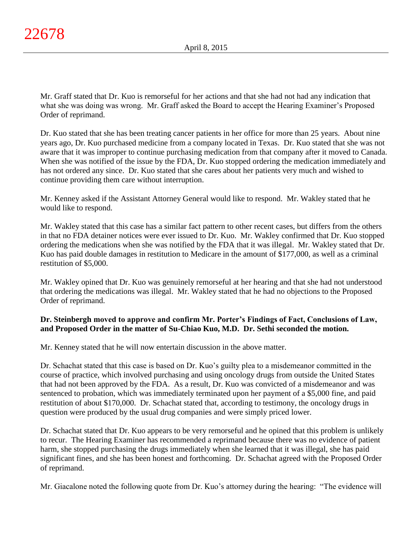Mr. Graff stated that Dr. Kuo is remorseful for her actions and that she had not had any indication that what she was doing was wrong. Mr. Graff asked the Board to accept the Hearing Examiner's Proposed Order of reprimand.

Dr. Kuo stated that she has been treating cancer patients in her office for more than 25 years. About nine years ago, Dr. Kuo purchased medicine from a company located in Texas. Dr. Kuo stated that she was not aware that it was improper to continue purchasing medication from that company after it moved to Canada. When she was notified of the issue by the FDA, Dr. Kuo stopped ordering the medication immediately and has not ordered any since. Dr. Kuo stated that she cares about her patients very much and wished to continue providing them care without interruption.

Mr. Kenney asked if the Assistant Attorney General would like to respond. Mr. Wakley stated that he would like to respond.

Mr. Wakley stated that this case has a similar fact pattern to other recent cases, but differs from the others in that no FDA detainer notices were ever issued to Dr. Kuo. Mr. Wakley confirmed that Dr. Kuo stopped ordering the medications when she was notified by the FDA that it was illegal. Mr. Wakley stated that Dr. Kuo has paid double damages in restitution to Medicare in the amount of \$177,000, as well as a criminal restitution of \$5,000.

Mr. Wakley opined that Dr. Kuo was genuinely remorseful at her hearing and that she had not understood that ordering the medications was illegal. Mr. Wakley stated that he had no objections to the Proposed Order of reprimand.

# **Dr. Steinbergh moved to approve and confirm Mr. Porter's Findings of Fact, Conclusions of Law, and Proposed Order in the matter of Su-Chiao Kuo, M.D. Dr. Sethi seconded the motion.**

Mr. Kenney stated that he will now entertain discussion in the above matter.

Dr. Schachat stated that this case is based on Dr. Kuo's guilty plea to a misdemeanor committed in the course of practice, which involved purchasing and using oncology drugs from outside the United States that had not been approved by the FDA. As a result, Dr. Kuo was convicted of a misdemeanor and was sentenced to probation, which was immediately terminated upon her payment of a \$5,000 fine, and paid restitution of about \$170,000. Dr. Schachat stated that, according to testimony, the oncology drugs in question were produced by the usual drug companies and were simply priced lower.

Dr. Schachat stated that Dr. Kuo appears to be very remorseful and he opined that this problem is unlikely to recur. The Hearing Examiner has recommended a reprimand because there was no evidence of patient harm, she stopped purchasing the drugs immediately when she learned that it was illegal, she has paid significant fines, and she has been honest and forthcoming. Dr. Schachat agreed with the Proposed Order of reprimand.

Mr. Giacalone noted the following quote from Dr. Kuo's attorney during the hearing: "The evidence will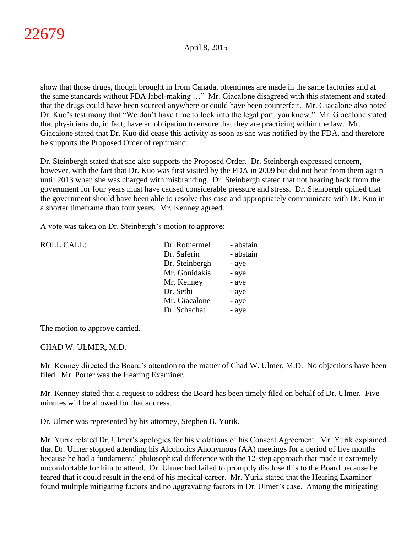show that those drugs, though brought in from Canada, oftentimes are made in the same factories and at the same standards without FDA label-making …" Mr. Giacalone disagreed with this statement and stated that the drugs could have been sourced anywhere or could have been counterfeit. Mr. Giacalone also noted Dr. Kuo's testimony that "We don't have time to look into the legal part, you know." Mr. Giacalone stated that physicians do, in fact, have an obligation to ensure that they are practicing within the law. Mr. Giacalone stated that Dr. Kuo did cease this activity as soon as she was notified by the FDA, and therefore he supports the Proposed Order of reprimand.

Dr. Steinbergh stated that she also supports the Proposed Order. Dr. Steinbergh expressed concern, however, with the fact that Dr. Kuo was first visited by the FDA in 2009 but did not hear from them again until 2013 when she was charged with misbranding. Dr. Steinbergh stated that not hearing back from the government for four years must have caused considerable pressure and stress. Dr. Steinbergh opined that the government should have been able to resolve this case and appropriately communicate with Dr. Kuo in a shorter timeframe than four years. Mr. Kenney agreed.

A vote was taken on Dr. Steinbergh's motion to approve:

| <b>ROLL CALL:</b> | Dr. Rothermel  | - abstain |
|-------------------|----------------|-----------|
|                   | Dr. Saferin    | - abstain |
|                   | Dr. Steinbergh | - aye     |
|                   | Mr. Gonidakis  | - aye     |
|                   | Mr. Kenney     | - aye     |
|                   | Dr. Sethi      | - aye     |
|                   | Mr. Giacalone  | - aye     |
|                   | Dr. Schachat   | - aye     |
|                   |                |           |

The motion to approve carried.

### CHAD W. ULMER, M.D.

Mr. Kenney directed the Board's attention to the matter of Chad W. Ulmer, M.D. No objections have been filed. Mr. Porter was the Hearing Examiner.

Mr. Kenney stated that a request to address the Board has been timely filed on behalf of Dr. Ulmer. Five minutes will be allowed for that address.

Dr. Ulmer was represented by his attorney, Stephen B. Yurik.

Mr. Yurik related Dr. Ulmer's apologies for his violations of his Consent Agreement. Mr. Yurik explained that Dr. Ulmer stopped attending his Alcoholics Anonymous (AA) meetings for a period of five months because he had a fundamental philosophical difference with the 12-step approach that made it extremely uncomfortable for him to attend. Dr. Ulmer had failed to promptly disclose this to the Board because he feared that it could result in the end of his medical career. Mr. Yurik stated that the Hearing Examiner found multiple mitigating factors and no aggravating factors in Dr. Ulmer's case. Among the mitigating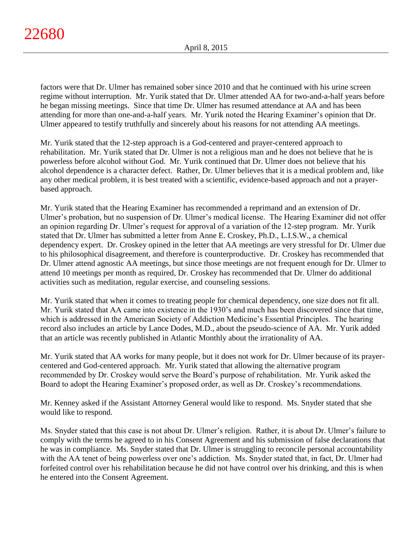factors were that Dr. Ulmer has remained sober since 2010 and that he continued with his urine screen regime without interruption. Mr. Yurik stated that Dr. Ulmer attended AA for two-and-a-half years before he began missing meetings. Since that time Dr. Ulmer has resumed attendance at AA and has been attending for more than one-and-a-half years. Mr. Yurik noted the Hearing Examiner's opinion that Dr. Ulmer appeared to testify truthfully and sincerely about his reasons for not attending AA meetings.

Mr. Yurik stated that the 12-step approach is a God-centered and prayer-centered approach to rehabilitation. Mr. Yurik stated that Dr. Ulmer is not a religious man and he does not believe that he is powerless before alcohol without God. Mr. Yurik continued that Dr. Ulmer does not believe that his alcohol dependence is a character defect. Rather, Dr. Ulmer believes that it is a medical problem and, like any other medical problem, it is best treated with a scientific, evidence-based approach and not a prayerbased approach.

Mr. Yurik stated that the Hearing Examiner has recommended a reprimand and an extension of Dr. Ulmer's probation, but no suspension of Dr. Ulmer's medical license. The Hearing Examiner did not offer an opinion regarding Dr. Ulmer's request for approval of a variation of the 12-step program. Mr. Yurik stated that Dr. Ulmer has submitted a letter from Anne E. Croskey, Ph.D., L.I.S.W., a chemical dependency expert. Dr. Croskey opined in the letter that AA meetings are very stressful for Dr. Ulmer due to his philosophical disagreement, and therefore is counterproductive. Dr. Croskey has recommended that Dr. Ulmer attend agnostic AA meetings, but since those meetings are not frequent enough for Dr. Ulmer to attend 10 meetings per month as required, Dr. Croskey has recommended that Dr. Ulmer do additional activities such as meditation, regular exercise, and counseling sessions.

Mr. Yurik stated that when it comes to treating people for chemical dependency, one size does not fit all. Mr. Yurik stated that AA came into existence in the 1930's and much has been discovered since that time, which is addressed in the American Society of Addiction Medicine's Essential Principles. The hearing record also includes an article by Lance Dodes, M.D., about the pseudo-science of AA. Mr. Yurik added that an article was recently published in Atlantic Monthly about the irrationality of AA.

Mr. Yurik stated that AA works for many people, but it does not work for Dr. Ulmer because of its prayercentered and God-centered approach. Mr. Yurik stated that allowing the alternative program recommended by Dr. Croskey would serve the Board's purpose of rehabilitation. Mr. Yurik asked the Board to adopt the Hearing Examiner's proposed order, as well as Dr. Croskey's recommendations.

Mr. Kenney asked if the Assistant Attorney General would like to respond. Ms. Snyder stated that she would like to respond.

Ms. Snyder stated that this case is not about Dr. Ulmer's religion. Rather, it is about Dr. Ulmer's failure to comply with the terms he agreed to in his Consent Agreement and his submission of false declarations that he was in compliance. Ms. Snyder stated that Dr. Ulmer is struggling to reconcile personal accountability with the AA tenet of being powerless over one's addiction. Ms. Snyder stated that, in fact, Dr. Ulmer had forfeited control over his rehabilitation because he did not have control over his drinking, and this is when he entered into the Consent Agreement.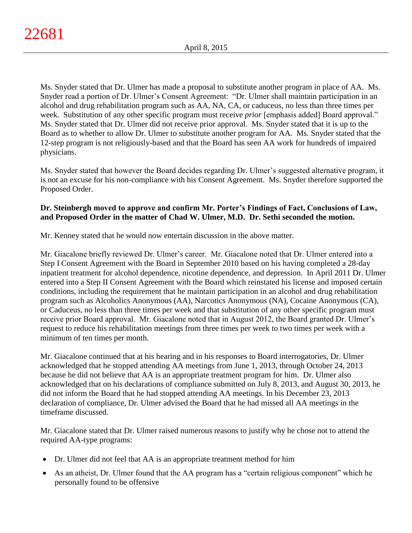Ms. Snyder stated that Dr. Ulmer has made a proposal to substitute another program in place of AA. Ms. Snyder read a portion of Dr. Ulmer's Consent Agreement: "Dr. Ulmer shall maintain participation in an alcohol and drug rehabilitation program such as AA, NA, CA, or caduceus, no less than three times per week. Substitution of any other specific program must receive *prior* [emphasis added] Board approval." Ms. Snyder stated that Dr. Ulmer did not receive prior approval. Ms. Snyder stated that it is up to the Board as to whether to allow Dr. Ulmer to substitute another program for AA. Ms. Snyder stated that the 12-step program is not religiously-based and that the Board has seen AA work for hundreds of impaired physicians.

Ms. Snyder stated that however the Board decides regarding Dr. Ulmer's suggested alternative program, it is not an excuse for his non-compliance with his Consent Agreement. Ms. Snyder therefore supported the Proposed Order.

# **Dr. Steinbergh moved to approve and confirm Mr. Porter's Findings of Fact, Conclusions of Law, and Proposed Order in the matter of Chad W. Ulmer, M.D. Dr. Sethi seconded the motion.**

Mr. Kenney stated that he would now entertain discussion in the above matter.

Mr. Giacalone briefly reviewed Dr. Ulmer's career. Mr. Giacalone noted that Dr. Ulmer entered into a Step I Consent Agreement with the Board in September 2010 based on his having completed a 28-day inpatient treatment for alcohol dependence, nicotine dependence, and depression. In April 2011 Dr. Ulmer entered into a Step II Consent Agreement with the Board which reinstated his license and imposed certain conditions, including the requirement that he maintain participation in an alcohol and drug rehabilitation program such as Alcoholics Anonymous (AA), Narcotics Anonymous (NA), Cocaine Anonymous (CA), or Caduceus, no less than three times per week and that substitution of any other specific program must receive prior Board approval. Mr. Giacalone noted that in August 2012, the Board granted Dr. Ulmer's request to reduce his rehabilitation meetings from three times per week to two times per week with a minimum of ten times per month.

Mr. Giacalone continued that at his hearing and in his responses to Board interrogatories, Dr. Ulmer acknowledged that he stopped attending AA meetings from June 1, 2013, through October 24, 2013 because he did not believe that AA is an appropriate treatment program for him. Dr. Ulmer also acknowledged that on his declarations of compliance submitted on July 8, 2013, and August 30, 2013, he did not inform the Board that he had stopped attending AA meetings. In his December 23, 2013 declaration of compliance, Dr. Ulmer advised the Board that he had missed all AA meetings in the timeframe discussed.

Mr. Giacalone stated that Dr. Ulmer raised numerous reasons to justify why he chose not to attend the required AA-type programs:

- Dr. Ulmer did not feel that AA is an appropriate treatment method for him
- As an atheist, Dr. Ulmer found that the AA program has a "certain religious component" which he personally found to be offensive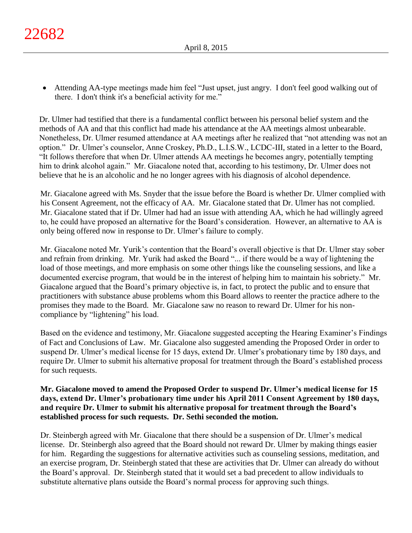Attending AA-type meetings made him feel "Just upset, just angry. I don't feel good walking out of there. I don't think it's a beneficial activity for me."

Dr. Ulmer had testified that there is a fundamental conflict between his personal belief system and the methods of AA and that this conflict had made his attendance at the AA meetings almost unbearable. Nonetheless, Dr. Ulmer resumed attendance at AA meetings after he realized that "not attending was not an option." Dr. Ulmer's counselor, Anne Croskey, Ph.D., L.I.S.W., LCDC-III, stated in a letter to the Board, "It follows therefore that when Dr. Ulmer attends AA meetings he becomes angry, potentially tempting him to drink alcohol again." Mr. Giacalone noted that, according to his testimony, Dr. Ulmer does not believe that he is an alcoholic and he no longer agrees with his diagnosis of alcohol dependence.

Mr. Giacalone agreed with Ms. Snyder that the issue before the Board is whether Dr. Ulmer complied with his Consent Agreement, not the efficacy of AA. Mr. Giacalone stated that Dr. Ulmer has not complied. Mr. Giacalone stated that if Dr. Ulmer had had an issue with attending AA, which he had willingly agreed to, he could have proposed an alternative for the Board's consideration. However, an alternative to AA is only being offered now in response to Dr. Ulmer's failure to comply.

Mr. Giacalone noted Mr. Yurik's contention that the Board's overall objective is that Dr. Ulmer stay sober and refrain from drinking. Mr. Yurik had asked the Board "... if there would be a way of lightening the load of those meetings, and more emphasis on some other things like the counseling sessions, and like a documented exercise program, that would be in the interest of helping him to maintain his sobriety." Mr. Giacalone argued that the Board's primary objective is, in fact, to protect the public and to ensure that practitioners with substance abuse problems whom this Board allows to reenter the practice adhere to the promises they made to the Board. Mr. Giacalone saw no reason to reward Dr. Ulmer for his noncompliance by "lightening" his load.

Based on the evidence and testimony, Mr. Giacalone suggested accepting the Hearing Examiner's Findings of Fact and Conclusions of Law. Mr. Giacalone also suggested amending the Proposed Order in order to suspend Dr. Ulmer's medical license for 15 days, extend Dr. Ulmer's probationary time by 180 days, and require Dr. Ulmer to submit his alternative proposal for treatment through the Board's established process for such requests.

# **Mr. Giacalone moved to amend the Proposed Order to suspend Dr. Ulmer's medical license for 15 days, extend Dr. Ulmer's probationary time under his April 2011 Consent Agreement by 180 days, and require Dr. Ulmer to submit his alternative proposal for treatment through the Board's established process for such requests. Dr. Sethi seconded the motion.**

Dr. Steinbergh agreed with Mr. Giacalone that there should be a suspension of Dr. Ulmer's medical license. Dr. Steinbergh also agreed that the Board should not reward Dr. Ulmer by making things easier for him. Regarding the suggestions for alternative activities such as counseling sessions, meditation, and an exercise program, Dr. Steinbergh stated that these are activities that Dr. Ulmer can already do without the Board's approval. Dr. Steinbergh stated that it would set a bad precedent to allow individuals to substitute alternative plans outside the Board's normal process for approving such things.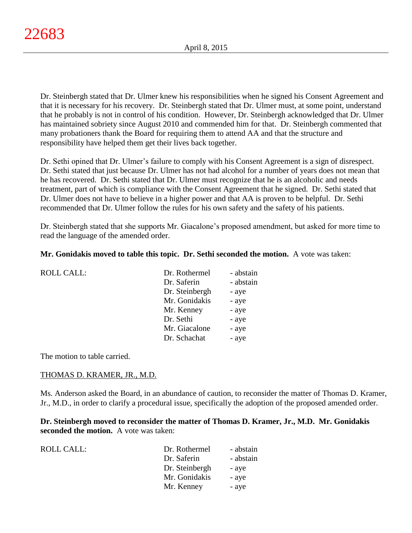Dr. Steinbergh stated that Dr. Ulmer knew his responsibilities when he signed his Consent Agreement and that it is necessary for his recovery. Dr. Steinbergh stated that Dr. Ulmer must, at some point, understand that he probably is not in control of his condition. However, Dr. Steinbergh acknowledged that Dr. Ulmer has maintained sobriety since August 2010 and commended him for that. Dr. Steinbergh commented that many probationers thank the Board for requiring them to attend AA and that the structure and responsibility have helped them get their lives back together.

Dr. Sethi opined that Dr. Ulmer's failure to comply with his Consent Agreement is a sign of disrespect. Dr. Sethi stated that just because Dr. Ulmer has not had alcohol for a number of years does not mean that he has recovered. Dr. Sethi stated that Dr. Ulmer must recognize that he is an alcoholic and needs treatment, part of which is compliance with the Consent Agreement that he signed. Dr. Sethi stated that Dr. Ulmer does not have to believe in a higher power and that AA is proven to be helpful. Dr. Sethi recommended that Dr. Ulmer follow the rules for his own safety and the safety of his patients.

Dr. Steinbergh stated that she supports Mr. Giacalone's proposed amendment, but asked for more time to read the language of the amended order.

### **Mr. Gonidakis moved to table this topic. Dr. Sethi seconded the motion.** A vote was taken:

| <b>ROLL CALL:</b> | Dr. Rothermel  | - abstain |
|-------------------|----------------|-----------|
|                   | Dr. Saferin    | - abstain |
|                   | Dr. Steinbergh | - aye     |
|                   | Mr. Gonidakis  | - aye     |
|                   | Mr. Kenney     | - aye     |
|                   | Dr. Sethi      | - aye     |
|                   | Mr. Giacalone  | - aye     |
|                   | Dr. Schachat   | - aye     |
|                   |                |           |

The motion to table carried.

### THOMAS D. KRAMER, JR., M.D.

Ms. Anderson asked the Board, in an abundance of caution, to reconsider the matter of Thomas D. Kramer, Jr., M.D., in order to clarify a procedural issue, specifically the adoption of the proposed amended order.

**Dr. Steinbergh moved to reconsider the matter of Thomas D. Kramer, Jr., M.D. Mr. Gonidakis seconded the motion.** A vote was taken:

| ROLL CALL: | Dr. Rothermel  | - abstain |
|------------|----------------|-----------|
|            | Dr. Saferin    | - abstain |
|            | Dr. Steinbergh | - aye     |
|            | Mr. Gonidakis  | - aye     |
|            | Mr. Kenney     | - aye     |
|            |                |           |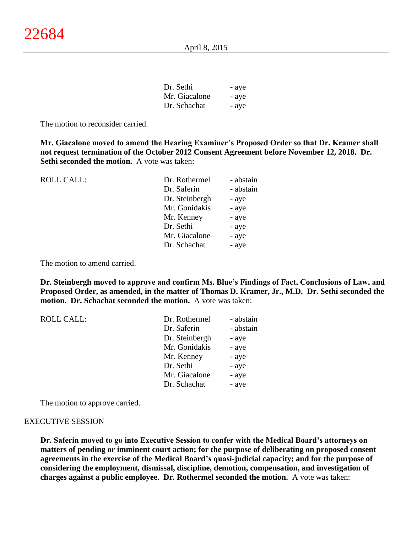| Dr. Sethi     | - aye |
|---------------|-------|
| Mr. Giacalone | - aye |
| Dr. Schachat  | - ave |

The motion to reconsider carried.

**Mr. Giacalone moved to amend the Hearing Examiner's Proposed Order so that Dr. Kramer shall not request termination of the October 2012 Consent Agreement before November 12, 2018. Dr. Sethi seconded the motion.** A vote was taken:

| Dr. Rothermel  | - abstain |
|----------------|-----------|
| Dr. Saferin    | - abstain |
| Dr. Steinbergh | - aye     |
| Mr. Gonidakis  | - aye     |
| Mr. Kenney     | - aye     |
| Dr. Sethi      | - aye     |
| Mr. Giacalone  | - aye     |
| Dr. Schachat   | - aye     |
|                |           |

The motion to amend carried.

**Dr. Steinbergh moved to approve and confirm Ms. Blue's Findings of Fact, Conclusions of Law, and Proposed Order, as amended, in the matter of Thomas D. Kramer, Jr., M.D. Dr. Sethi seconded the motion. Dr. Schachat seconded the motion.** A vote was taken:

| <b>ROLL CALL:</b> | Dr. Rothermel  | - abstain |
|-------------------|----------------|-----------|
|                   | Dr. Saferin    | - abstain |
|                   | Dr. Steinbergh | - aye     |
|                   | Mr. Gonidakis  | - aye     |
|                   | Mr. Kenney     | - aye     |
|                   | Dr. Sethi      | - aye     |
|                   | Mr. Giacalone  | - aye     |
|                   | Dr. Schachat   | - aye     |

The motion to approve carried.

#### EXECUTIVE SESSION

**Dr. Saferin moved to go into Executive Session to confer with the Medical Board's attorneys on matters of pending or imminent court action; for the purpose of deliberating on proposed consent agreements in the exercise of the Medical Board's quasi-judicial capacity; and for the purpose of considering the employment, dismissal, discipline, demotion, compensation, and investigation of charges against a public employee. Dr. Rothermel seconded the motion.** A vote was taken: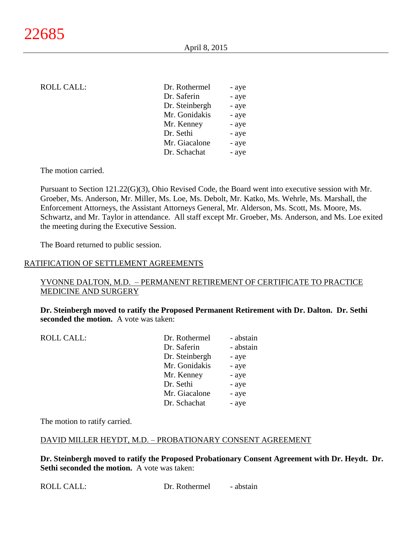### ROLL CALL:

| Dr. Rothermel  | - aye |
|----------------|-------|
| Dr. Saferin    | - aye |
| Dr. Steinbergh | - aye |
| Mr. Gonidakis  | - aye |
| Mr. Kenney     | - aye |
| Dr. Sethi      | - aye |
| Mr. Giacalone  | - aye |
| Dr. Schachat   | - aye |
|                |       |

The motion carried.

Pursuant to Section 121.22(G)(3), Ohio Revised Code, the Board went into executive session with Mr. Groeber, Ms. Anderson, Mr. Miller, Ms. Loe, Ms. Debolt, Mr. Katko, Ms. Wehrle, Ms. Marshall, the Enforcement Attorneys, the Assistant Attorneys General, Mr. Alderson, Ms. Scott, Ms. Moore, Ms. Schwartz, and Mr. Taylor in attendance. All staff except Mr. Groeber, Ms. Anderson, and Ms. Loe exited the meeting during the Executive Session.

The Board returned to public session.

#### RATIFICATION OF SETTLEMENT AGREEMENTS

### YVONNE DALTON, M.D. – PERMANENT RETIREMENT OF CERTIFICATE TO PRACTICE MEDICINE AND SURGERY

**Dr. Steinbergh moved to ratify the Proposed Permanent Retirement with Dr. Dalton. Dr. Sethi seconded the motion.** A vote was taken:

| <b>ROLL CALL:</b> | Dr. Rothermel  | - abstain |
|-------------------|----------------|-----------|
|                   | Dr. Saferin    | - abstain |
|                   | Dr. Steinbergh | - aye     |
|                   | Mr. Gonidakis  | - aye     |
|                   | Mr. Kenney     | - aye     |
|                   | Dr. Sethi      | - aye     |
|                   | Mr. Giacalone  | - aye     |
|                   | Dr. Schachat   | - aye     |
|                   |                |           |

The motion to ratify carried.

#### DAVID MILLER HEYDT, M.D. – PROBATIONARY CONSENT AGREEMENT

**Dr. Steinbergh moved to ratify the Proposed Probationary Consent Agreement with Dr. Heydt. Dr. Sethi seconded the motion.** A vote was taken: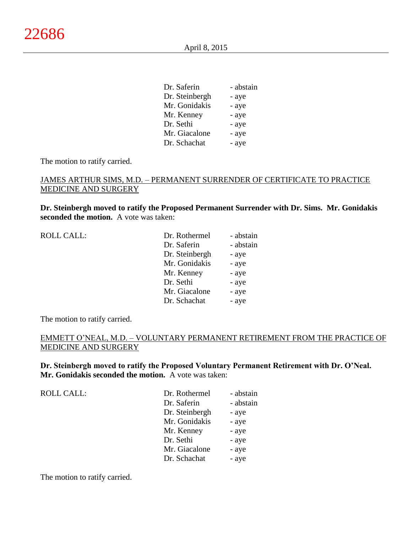| Dr. Saferin    | - abstain |
|----------------|-----------|
| Dr. Steinbergh | - aye     |
| Mr. Gonidakis  | - aye     |
| Mr. Kenney     | - aye     |
| Dr. Sethi      | - aye     |
| Mr. Giacalone  | - aye     |
| Dr. Schachat   | - aye     |

The motion to ratify carried.

### JAMES ARTHUR SIMS, M.D. – PERMANENT SURRENDER OF CERTIFICATE TO PRACTICE MEDICINE AND SURGERY

**Dr. Steinbergh moved to ratify the Proposed Permanent Surrender with Dr. Sims. Mr. Gonidakis seconded the motion.** A vote was taken:

| <b>ROLL CALL:</b> | Dr. Rothermel  | - abstain |
|-------------------|----------------|-----------|
|                   | Dr. Saferin    | - abstain |
|                   | Dr. Steinbergh | - aye     |
|                   | Mr. Gonidakis  | - aye     |
|                   | Mr. Kenney     | - aye     |
|                   | Dr. Sethi      | - aye     |
|                   | Mr. Giacalone  | - aye     |
|                   | Dr. Schachat   | - aye     |
|                   |                |           |

The motion to ratify carried.

# EMMETT O'NEAL, M.D. – VOLUNTARY PERMANENT RETIREMENT FROM THE PRACTICE OF MEDICINE AND SURGERY

**Dr. Steinbergh moved to ratify the Proposed Voluntary Permanent Retirement with Dr. O'Neal. Mr. Gonidakis seconded the motion.** A vote was taken:

| <b>ROLL CALL:</b> | Dr. Rothermel  | - abstain |
|-------------------|----------------|-----------|
|                   | Dr. Saferin    | - abstain |
|                   | Dr. Steinbergh | - aye     |
|                   | Mr. Gonidakis  | - aye     |
|                   | Mr. Kenney     | - aye     |
|                   | Dr. Sethi      | - aye     |
|                   | Mr. Giacalone  | - aye     |
|                   | Dr. Schachat   | - aye     |

The motion to ratify carried.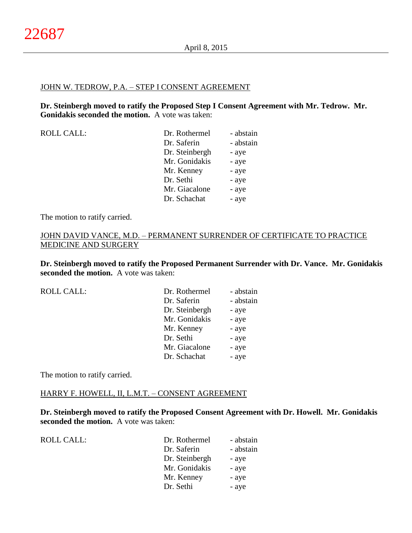#### JOHN W. TEDROW, P.A. – STEP I CONSENT AGREEMENT

**Dr. Steinbergh moved to ratify the Proposed Step I Consent Agreement with Mr. Tedrow. Mr. Gonidakis seconded the motion.** A vote was taken:

| <b>ROLL CALL:</b> | Dr. Rothermel<br>Dr. Saferin<br>Dr. Steinbergh<br>Mr. Gonidakis<br>Mr. Kenney<br>Dr. Sethi<br>Mr. Giacalone | - abstain<br>- abstain<br>- aye<br>- aye<br>- aye<br>- aye |
|-------------------|-------------------------------------------------------------------------------------------------------------|------------------------------------------------------------|
|                   | Dr. Schachat                                                                                                | - aye<br>- aye                                             |

The motion to ratify carried.

# JOHN DAVID VANCE, M.D. – PERMANENT SURRENDER OF CERTIFICATE TO PRACTICE MEDICINE AND SURGERY

**Dr. Steinbergh moved to ratify the Proposed Permanent Surrender with Dr. Vance. Mr. Gonidakis seconded the motion.** A vote was taken:

| <b>ROLL CALL:</b> | Dr. Rothermel  | - abstain |
|-------------------|----------------|-----------|
|                   | Dr. Saferin    | - abstain |
|                   | Dr. Steinbergh | - aye     |
|                   | Mr. Gonidakis  | - aye     |
|                   | Mr. Kenney     | - aye     |
|                   | Dr. Sethi      | - aye     |
|                   | Mr. Giacalone  | - aye     |
|                   | Dr. Schachat   | - aye     |
|                   |                |           |

The motion to ratify carried.

# HARRY F. HOWELL, II, L.M.T. – CONSENT AGREEMENT

**Dr. Steinbergh moved to ratify the Proposed Consent Agreement with Dr. Howell. Mr. Gonidakis seconded the motion.** A vote was taken:

| <b>ROLL CALL:</b> | Dr. Rothermel  | - abstain |
|-------------------|----------------|-----------|
|                   | Dr. Saferin    | - abstain |
|                   | Dr. Steinbergh | - aye     |
|                   | Mr. Gonidakis  | - aye     |
|                   | Mr. Kenney     | - aye     |
|                   | Dr. Sethi      | - aye     |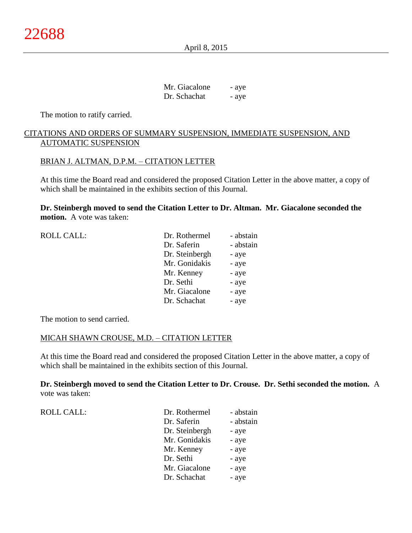April 8, 2015

Mr. Giacalone - aye Dr. Schachat - aye

The motion to ratify carried.

# CITATIONS AND ORDERS OF SUMMARY SUSPENSION, IMMEDIATE SUSPENSION, AND AUTOMATIC SUSPENSION

### BRIAN J. ALTMAN, D.P.M. – CITATION LETTER

At this time the Board read and considered the proposed Citation Letter in the above matter, a copy of which shall be maintained in the exhibits section of this Journal.

**Dr. Steinbergh moved to send the Citation Letter to Dr. Altman. Mr. Giacalone seconded the motion.** A vote was taken:

| <b>ROLL CALL:</b> | Dr. Rothermel  | - abstain |
|-------------------|----------------|-----------|
|                   | Dr. Saferin    | - abstain |
|                   | Dr. Steinbergh | - aye     |
|                   | Mr. Gonidakis  | - aye     |
|                   | Mr. Kenney     | - aye     |
|                   | Dr. Sethi      | - aye     |
|                   | Mr. Giacalone  | - aye     |
|                   | Dr. Schachat   | - aye     |
|                   |                |           |

The motion to send carried.

#### MICAH SHAWN CROUSE, M.D. – CITATION LETTER

At this time the Board read and considered the proposed Citation Letter in the above matter, a copy of which shall be maintained in the exhibits section of this Journal.

**Dr. Steinbergh moved to send the Citation Letter to Dr. Crouse. Dr. Sethi seconded the motion.** A vote was taken:

| <b>ROLL CALL:</b> | Dr. Rothermel  | - abstain |
|-------------------|----------------|-----------|
|                   | Dr. Saferin    | - abstain |
|                   | Dr. Steinbergh | - aye     |
|                   | Mr. Gonidakis  | - aye     |
|                   | Mr. Kenney     | - aye     |
|                   | Dr. Sethi      | - aye     |
|                   | Mr. Giacalone  | - aye     |
|                   | Dr. Schachat   | - aye     |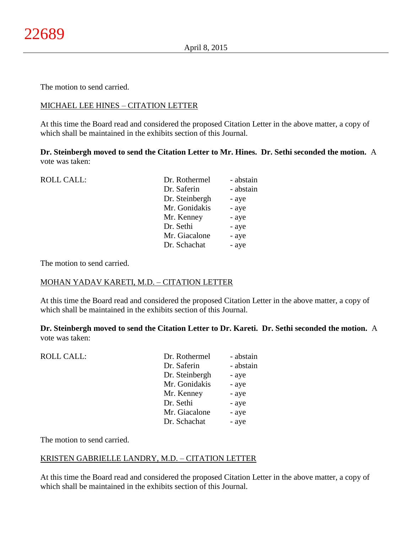The motion to send carried.

# MICHAEL LEE HINES – CITATION LETTER

At this time the Board read and considered the proposed Citation Letter in the above matter, a copy of which shall be maintained in the exhibits section of this Journal.

**Dr. Steinbergh moved to send the Citation Letter to Mr. Hines. Dr. Sethi seconded the motion.** A vote was taken:

| <b>ROLL CALL:</b> | Dr. Rothermel  | - abstain |
|-------------------|----------------|-----------|
|                   | Dr. Saferin    | - abstain |
|                   | Dr. Steinbergh | - aye     |
|                   | Mr. Gonidakis  | - aye     |
|                   | Mr. Kenney     | - aye     |
|                   | Dr. Sethi      | - aye     |
|                   | Mr. Giacalone  | - aye     |
|                   | Dr. Schachat   | - aye     |
|                   |                |           |

The motion to send carried.

### MOHAN YADAV KARETI, M.D. – CITATION LETTER

At this time the Board read and considered the proposed Citation Letter in the above matter, a copy of which shall be maintained in the exhibits section of this Journal.

**Dr. Steinbergh moved to send the Citation Letter to Dr. Kareti. Dr. Sethi seconded the motion.** A vote was taken:

| <b>ROLL CALL:</b> | Dr. Rothermel  | - abstain |
|-------------------|----------------|-----------|
|                   | Dr. Saferin    | - abstain |
|                   | Dr. Steinbergh | - aye     |
|                   | Mr. Gonidakis  | - aye     |
|                   | Mr. Kenney     | - aye     |
|                   | Dr. Sethi      | - aye     |
|                   | Mr. Giacalone  | - aye     |
|                   | Dr. Schachat   | - aye     |
|                   |                |           |

The motion to send carried.

### KRISTEN GABRIELLE LANDRY, M.D. – CITATION LETTER

At this time the Board read and considered the proposed Citation Letter in the above matter, a copy of which shall be maintained in the exhibits section of this Journal.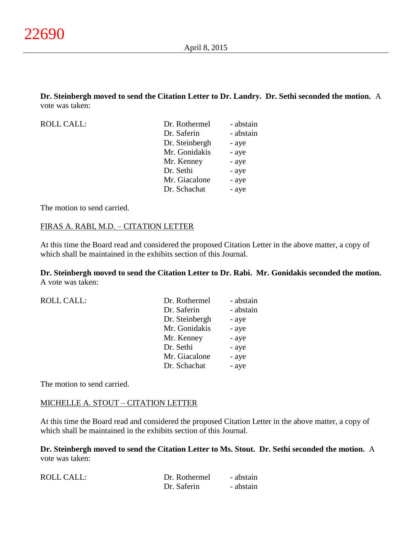**Dr. Steinbergh moved to send the Citation Letter to Dr. Landry. Dr. Sethi seconded the motion.** A vote was taken:

ROLL CALL:

| Dr. Rothermel  | - abstain |
|----------------|-----------|
| Dr. Saferin    | - abstain |
| Dr. Steinbergh | - aye     |
| Mr. Gonidakis  | - aye     |
| Mr. Kenney     | - aye     |
| Dr. Sethi      | - aye     |
| Mr. Giacalone  | - aye     |
| Dr. Schachat   | - aye     |

The motion to send carried.

### FIRAS A. RABI, M.D. – CITATION LETTER

At this time the Board read and considered the proposed Citation Letter in the above matter, a copy of which shall be maintained in the exhibits section of this Journal.

**Dr. Steinbergh moved to send the Citation Letter to Dr. Rabi. Mr. Gonidakis seconded the motion.** A vote was taken:

| <b>ROLL CALL:</b> | Dr. Rothermel  | - abstain |
|-------------------|----------------|-----------|
|                   | Dr. Saferin    | - abstain |
|                   | Dr. Steinbergh | - aye     |
|                   | Mr. Gonidakis  | - aye     |
|                   | Mr. Kenney     | - aye     |
|                   | Dr. Sethi      | - aye     |
|                   | Mr. Giacalone  | - aye     |
|                   | Dr. Schachat   | - aye     |
|                   |                |           |

The motion to send carried.

### MICHELLE A. STOUT – CITATION LETTER

At this time the Board read and considered the proposed Citation Letter in the above matter, a copy of which shall be maintained in the exhibits section of this Journal.

**Dr. Steinbergh moved to send the Citation Letter to Ms. Stout. Dr. Sethi seconded the motion.** A vote was taken:

| <b>ROLL CALL:</b> | Dr. Rothermel | - abstain |
|-------------------|---------------|-----------|
|                   | Dr. Saferin   | - abstain |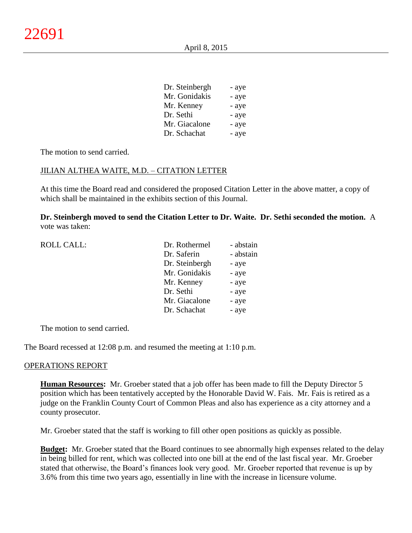| Dr. Steinbergh | - aye |
|----------------|-------|
| Mr. Gonidakis  | - aye |
| Mr. Kenney     | - aye |
| Dr. Sethi      | - aye |
| Mr. Giacalone  | - aye |
| Dr. Schachat   | - aye |

The motion to send carried.

#### JILIAN ALTHEA WAITE, M.D. – CITATION LETTER

At this time the Board read and considered the proposed Citation Letter in the above matter, a copy of which shall be maintained in the exhibits section of this Journal.

**Dr. Steinbergh moved to send the Citation Letter to Dr. Waite. Dr. Sethi seconded the motion.** A vote was taken:

| <b>ROLL CALL:</b> | Dr. Rothermel  | - abstain |
|-------------------|----------------|-----------|
|                   | Dr. Saferin    | - abstain |
|                   | Dr. Steinbergh | - aye     |
|                   | Mr. Gonidakis  | - aye     |
|                   | Mr. Kenney     | - aye     |
|                   | Dr. Sethi      | - aye     |
|                   | Mr. Giacalone  | - aye     |
|                   | Dr. Schachat   | - aye     |
|                   |                |           |

The motion to send carried.

The Board recessed at 12:08 p.m. and resumed the meeting at 1:10 p.m.

#### OPERATIONS REPORT

**Human Resources:** Mr. Groeber stated that a job offer has been made to fill the Deputy Director 5 position which has been tentatively accepted by the Honorable David W. Fais. Mr. Fais is retired as a judge on the Franklin County Court of Common Pleas and also has experience as a city attorney and a county prosecutor.

Mr. Groeber stated that the staff is working to fill other open positions as quickly as possible.

**Budget:** Mr. Groeber stated that the Board continues to see abnormally high expenses related to the delay in being billed for rent, which was collected into one bill at the end of the last fiscal year. Mr. Groeber stated that otherwise, the Board's finances look very good. Mr. Groeber reported that revenue is up by 3.6% from this time two years ago, essentially in line with the increase in licensure volume.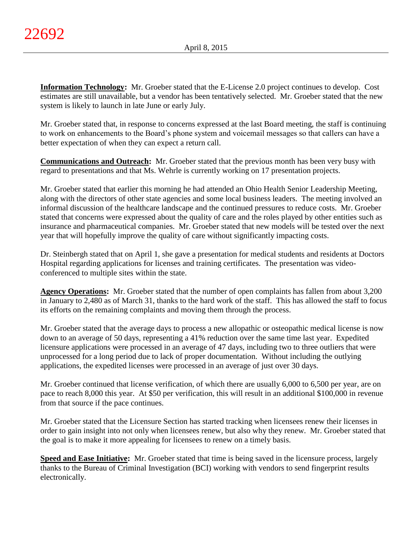**Information Technology:** Mr. Groeber stated that the E-License 2.0 project continues to develop. Cost estimates are still unavailable, but a vendor has been tentatively selected. Mr. Groeber stated that the new system is likely to launch in late June or early July.

Mr. Groeber stated that, in response to concerns expressed at the last Board meeting, the staff is continuing to work on enhancements to the Board's phone system and voicemail messages so that callers can have a better expectation of when they can expect a return call.

**Communications and Outreach:** Mr. Groeber stated that the previous month has been very busy with regard to presentations and that Ms. Wehrle is currently working on 17 presentation projects.

Mr. Groeber stated that earlier this morning he had attended an Ohio Health Senior Leadership Meeting, along with the directors of other state agencies and some local business leaders. The meeting involved an informal discussion of the healthcare landscape and the continued pressures to reduce costs. Mr. Groeber stated that concerns were expressed about the quality of care and the roles played by other entities such as insurance and pharmaceutical companies. Mr. Groeber stated that new models will be tested over the next year that will hopefully improve the quality of care without significantly impacting costs.

Dr. Steinbergh stated that on April 1, she gave a presentation for medical students and residents at Doctors Hospital regarding applications for licenses and training certificates. The presentation was videoconferenced to multiple sites within the state.

**Agency Operations:** Mr. Groeber stated that the number of open complaints has fallen from about 3,200 in January to 2,480 as of March 31, thanks to the hard work of the staff. This has allowed the staff to focus its efforts on the remaining complaints and moving them through the process.

Mr. Groeber stated that the average days to process a new allopathic or osteopathic medical license is now down to an average of 50 days, representing a 41% reduction over the same time last year. Expedited licensure applications were processed in an average of 47 days, including two to three outliers that were unprocessed for a long period due to lack of proper documentation. Without including the outlying applications, the expedited licenses were processed in an average of just over 30 days.

Mr. Groeber continued that license verification, of which there are usually 6,000 to 6,500 per year, are on pace to reach 8,000 this year. At \$50 per verification, this will result in an additional \$100,000 in revenue from that source if the pace continues.

Mr. Groeber stated that the Licensure Section has started tracking when licensees renew their licenses in order to gain insight into not only when licensees renew, but also why they renew. Mr. Groeber stated that the goal is to make it more appealing for licensees to renew on a timely basis.

**Speed and Ease Initiative:** Mr. Groeber stated that time is being saved in the licensure process, largely thanks to the Bureau of Criminal Investigation (BCI) working with vendors to send fingerprint results electronically.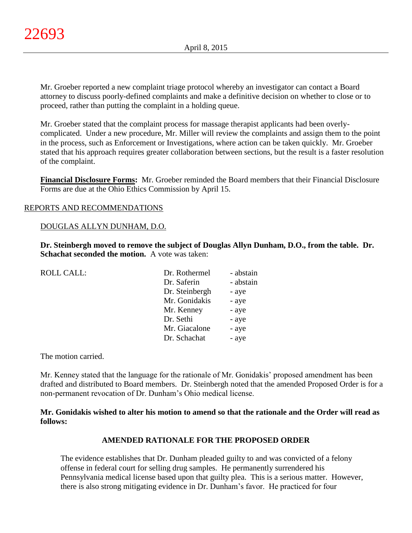Mr. Groeber reported a new complaint triage protocol whereby an investigator can contact a Board attorney to discuss poorly-defined complaints and make a definitive decision on whether to close or to proceed, rather than putting the complaint in a holding queue.

Mr. Groeber stated that the complaint process for massage therapist applicants had been overlycomplicated. Under a new procedure, Mr. Miller will review the complaints and assign them to the point in the process, such as Enforcement or Investigations, where action can be taken quickly. Mr. Groeber stated that his approach requires greater collaboration between sections, but the result is a faster resolution of the complaint.

**Financial Disclosure Forms:** Mr. Groeber reminded the Board members that their Financial Disclosure Forms are due at the Ohio Ethics Commission by April 15.

# REPORTS AND RECOMMENDATIONS

### DOUGLAS ALLYN DUNHAM, D.O.

**Dr. Steinbergh moved to remove the subject of Douglas Allyn Dunham, D.O., from the table. Dr. Schachat seconded the motion.** A vote was taken:

| <b>ROLL CALL:</b> | Dr. Rothermel  | - abstain |
|-------------------|----------------|-----------|
|                   | Dr. Saferin    | - abstain |
|                   | Dr. Steinbergh | - aye     |
|                   | Mr. Gonidakis  | - aye     |
|                   | Mr. Kenney     | - aye     |
|                   | Dr. Sethi      | - aye     |
|                   | Mr. Giacalone  | - aye     |
|                   | Dr. Schachat   | - aye     |
|                   |                |           |

The motion carried.

Mr. Kenney stated that the language for the rationale of Mr. Gonidakis' proposed amendment has been drafted and distributed to Board members. Dr. Steinbergh noted that the amended Proposed Order is for a non-permanent revocation of Dr. Dunham's Ohio medical license.

**Mr. Gonidakis wished to alter his motion to amend so that the rationale and the Order will read as follows:**

### **AMENDED RATIONALE FOR THE PROPOSED ORDER**

The evidence establishes that Dr. Dunham pleaded guilty to and was convicted of a felony offense in federal court for selling drug samples. He permanently surrendered his Pennsylvania medical license based upon that guilty plea. This is a serious matter. However, there is also strong mitigating evidence in Dr. Dunham's favor. He practiced for four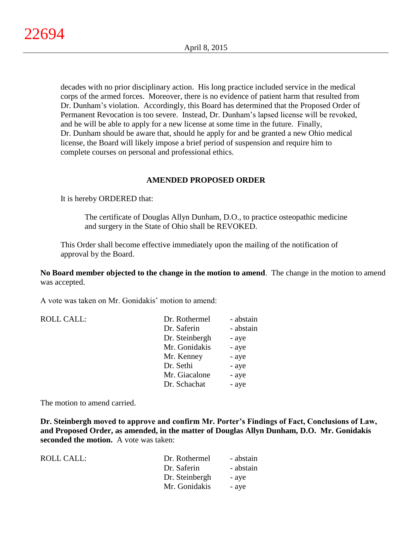decades with no prior disciplinary action. His long practice included service in the medical corps of the armed forces. Moreover, there is no evidence of patient harm that resulted from Dr. Dunham's violation. Accordingly, this Board has determined that the Proposed Order of Permanent Revocation is too severe. Instead, Dr. Dunham's lapsed license will be revoked, and he will be able to apply for a new license at some time in the future. Finally, Dr. Dunham should be aware that, should he apply for and be granted a new Ohio medical license, the Board will likely impose a brief period of suspension and require him to complete courses on personal and professional ethics.

# **AMENDED PROPOSED ORDER**

It is hereby ORDERED that:

The certificate of Douglas Allyn Dunham, D.O., to practice osteopathic medicine and surgery in the State of Ohio shall be REVOKED.

This Order shall become effective immediately upon the mailing of the notification of approval by the Board.

**No Board member objected to the change in the motion to amend**. The change in the motion to amend was accepted.

A vote was taken on Mr. Gonidakis' motion to amend:

| <b>ROLL CALL:</b> | Dr. Rothermel  | - abstain |
|-------------------|----------------|-----------|
|                   | Dr. Saferin    | - abstain |
|                   | Dr. Steinbergh | - aye     |
|                   | Mr. Gonidakis  | - aye     |
|                   | Mr. Kenney     | - aye     |
|                   | Dr. Sethi      | - aye     |
|                   | Mr. Giacalone  | - aye     |
|                   | Dr. Schachat   | - aye     |
|                   |                |           |

The motion to amend carried.

**Dr. Steinbergh moved to approve and confirm Mr. Porter's Findings of Fact, Conclusions of Law, and Proposed Order, as amended, in the matter of Douglas Allyn Dunham, D.O. Mr. Gonidakis seconded the motion.** A vote was taken:

| ROLL CALL: | Dr. Rothermel  | - abstain |
|------------|----------------|-----------|
|            | Dr. Saferin    | - abstain |
|            | Dr. Steinbergh | - ave     |
|            | Mr. Gonidakis  | - aye     |
|            |                |           |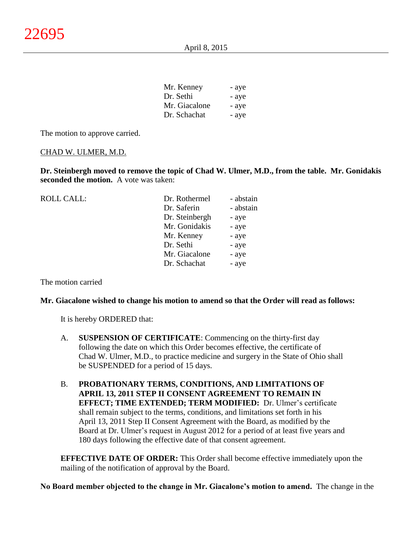| Mr. Kenney    | - aye |
|---------------|-------|
| Dr. Sethi     | - aye |
| Mr. Giacalone | - aye |
| Dr. Schachat  | - aye |

The motion to approve carried.

### CHAD W. ULMER, M.D.

**Dr. Steinbergh moved to remove the topic of Chad W. Ulmer, M.D., from the table. Mr. Gonidakis seconded the motion.** A vote was taken:

| <b>ROLL CALL:</b> | Dr. Rothermel  | - abstain |
|-------------------|----------------|-----------|
|                   | Dr. Saferin    | - abstain |
|                   | Dr. Steinbergh | - aye     |
|                   | Mr. Gonidakis  | - aye     |
|                   | Mr. Kenney     | - aye     |
|                   | Dr. Sethi      | - aye     |
|                   | Mr. Giacalone  | - aye     |
|                   | Dr. Schachat   | - aye     |
|                   |                |           |

The motion carried

#### **Mr. Giacalone wished to change his motion to amend so that the Order will read as follows:**

It is hereby ORDERED that:

- A. **SUSPENSION OF CERTIFICATE**: Commencing on the thirty-first day following the date on which this Order becomes effective, the certificate of Chad W. Ulmer, M.D., to practice medicine and surgery in the State of Ohio shall be SUSPENDED for a period of 15 days.
- B. **PROBATIONARY TERMS, CONDITIONS, AND LIMITATIONS OF APRIL 13, 2011 STEP II CONSENT AGREEMENT TO REMAIN IN EFFECT; TIME EXTENDED; TERM MODIFIED:** Dr. Ulmer's certificate shall remain subject to the terms, conditions, and limitations set forth in his April 13, 2011 Step II Consent Agreement with the Board, as modified by the Board at Dr. Ulmer's request in August 2012 for a period of at least five years and 180 days following the effective date of that consent agreement.

**EFFECTIVE DATE OF ORDER:** This Order shall become effective immediately upon the mailing of the notification of approval by the Board.

**No Board member objected to the change in Mr. Giacalone's motion to amend.** The change in the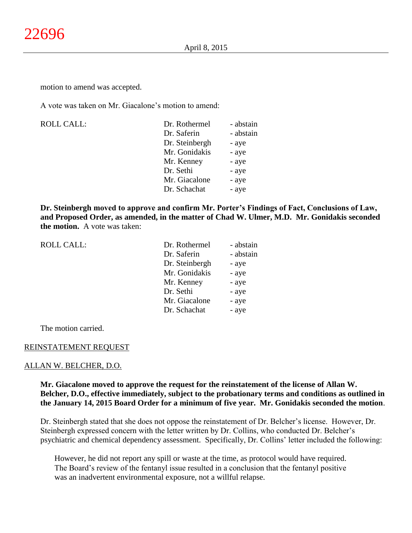motion to amend was accepted.

A vote was taken on Mr. Giacalone's motion to amend:

| <b>ROLL CALL:</b> | Dr. Rothermel  | - abstain |
|-------------------|----------------|-----------|
|                   | Dr. Saferin    | - abstain |
|                   | Dr. Steinbergh | - aye     |
|                   | Mr. Gonidakis  | - aye     |
|                   | Mr. Kenney     | - aye     |
|                   | Dr. Sethi      | - aye     |
|                   | Mr. Giacalone  | - aye     |
|                   | Dr. Schachat   | - aye     |
|                   |                |           |

**Dr. Steinbergh moved to approve and confirm Mr. Porter's Findings of Fact, Conclusions of Law, and Proposed Order, as amended, in the matter of Chad W. Ulmer, M.D. Mr. Gonidakis seconded the motion.** A vote was taken:

| <b>ROLL CALL:</b> | Dr. Rothermel  | - abstain |
|-------------------|----------------|-----------|
|                   | Dr. Saferin    | - abstain |
|                   | Dr. Steinbergh | - aye     |
|                   | Mr. Gonidakis  | - aye     |
|                   | Mr. Kenney     | - aye     |
|                   | Dr. Sethi      | - aye     |
|                   | Mr. Giacalone  | - aye     |
|                   | Dr. Schachat   | - aye     |
|                   |                |           |

The motion carried.

#### REINSTATEMENT REQUEST

#### ALLAN W. BELCHER, D.O.

**Mr. Giacalone moved to approve the request for the reinstatement of the license of Allan W. Belcher, D.O., effective immediately, subject to the probationary terms and conditions as outlined in the January 14, 2015 Board Order for a minimum of five year. Mr. Gonidakis seconded the motion**.

Dr. Steinbergh stated that she does not oppose the reinstatement of Dr. Belcher's license. However, Dr. Steinbergh expressed concern with the letter written by Dr. Collins, who conducted Dr. Belcher's psychiatric and chemical dependency assessment. Specifically, Dr. Collins' letter included the following:

However, he did not report any spill or waste at the time, as protocol would have required. The Board's review of the fentanyl issue resulted in a conclusion that the fentanyl positive was an inadvertent environmental exposure, not a willful relapse.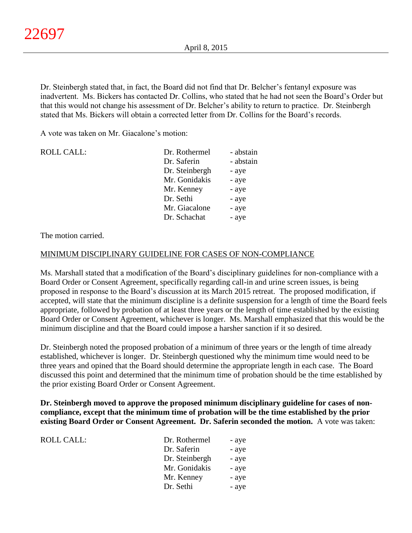Dr. Steinbergh stated that, in fact, the Board did not find that Dr. Belcher's fentanyl exposure was inadvertent. Ms. Bickers has contacted Dr. Collins, who stated that he had not seen the Board's Order but that this would not change his assessment of Dr. Belcher's ability to return to practice. Dr. Steinbergh stated that Ms. Bickers will obtain a corrected letter from Dr. Collins for the Board's records.

A vote was taken on Mr. Giacalone's motion:

| <b>ROLL CALL:</b> | Dr. Rothermel  | - abstain |
|-------------------|----------------|-----------|
|                   | Dr. Saferin    | - abstain |
|                   | Dr. Steinbergh | - aye     |
|                   | Mr. Gonidakis  | - aye     |
|                   | Mr. Kenney     | - aye     |
|                   | Dr. Sethi      | - aye     |
|                   | Mr. Giacalone  | - aye     |
|                   | Dr. Schachat   | - aye     |

The motion carried.

### MINIMUM DISCIPLINARY GUIDELINE FOR CASES OF NON-COMPLIANCE

Ms. Marshall stated that a modification of the Board's disciplinary guidelines for non-compliance with a Board Order or Consent Agreement, specifically regarding call-in and urine screen issues, is being proposed in response to the Board's discussion at its March 2015 retreat. The proposed modification, if accepted, will state that the minimum discipline is a definite suspension for a length of time the Board feels appropriate, followed by probation of at least three years or the length of time established by the existing Board Order or Consent Agreement, whichever is longer. Ms. Marshall emphasized that this would be the minimum discipline and that the Board could impose a harsher sanction if it so desired.

Dr. Steinbergh noted the proposed probation of a minimum of three years or the length of time already established, whichever is longer. Dr. Steinbergh questioned why the minimum time would need to be three years and opined that the Board should determine the appropriate length in each case. The Board discussed this point and determined that the minimum time of probation should be the time established by the prior existing Board Order or Consent Agreement.

**Dr. Steinbergh moved to approve the proposed minimum disciplinary guideline for cases of noncompliance, except that the minimum time of probation will be the time established by the prior existing Board Order or Consent Agreement. Dr. Saferin seconded the motion.** A vote was taken:

| ROLL CALL: | Dr. Rothermel  | - aye |
|------------|----------------|-------|
|            | Dr. Saferin    | - aye |
|            | Dr. Steinbergh | - aye |
|            | Mr. Gonidakis  | - aye |
|            | Mr. Kenney     | - aye |
|            | Dr. Sethi      | - aye |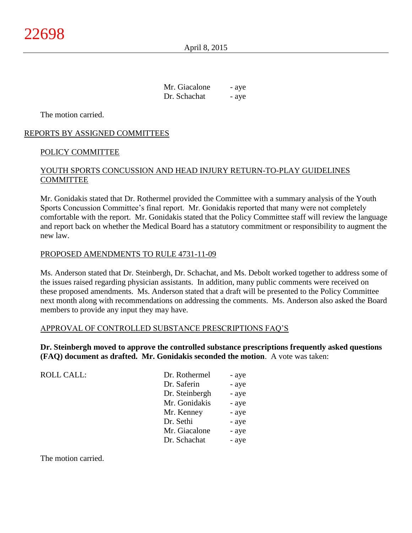April 8, 2015

Mr. Giacalone - aye Dr. Schachat - aye

The motion carried.

# REPORTS BY ASSIGNED COMMITTEES

# POLICY COMMITTEE

# YOUTH SPORTS CONCUSSION AND HEAD INJURY RETURN-TO-PLAY GUIDELINES COMMITTEE

Mr. Gonidakis stated that Dr. Rothermel provided the Committee with a summary analysis of the Youth Sports Concussion Committee's final report. Mr. Gonidakis reported that many were not completely comfortable with the report. Mr. Gonidakis stated that the Policy Committee staff will review the language and report back on whether the Medical Board has a statutory commitment or responsibility to augment the new law.

### PROPOSED AMENDMENTS TO RULE 4731-11-09

Ms. Anderson stated that Dr. Steinbergh, Dr. Schachat, and Ms. Debolt worked together to address some of the issues raised regarding physician assistants. In addition, many public comments were received on these proposed amendments. Ms. Anderson stated that a draft will be presented to the Policy Committee next month along with recommendations on addressing the comments. Ms. Anderson also asked the Board members to provide any input they may have.

### APPROVAL OF CONTROLLED SUBSTANCE PRESCRIPTIONS FAQ'S

**Dr. Steinbergh moved to approve the controlled substance prescriptions frequently asked questions (FAQ) document as drafted. Mr. Gonidakis seconded the motion**. A vote was taken:

| <b>ROLL CALL:</b> | Dr. Rothermel  | - aye |
|-------------------|----------------|-------|
|                   | Dr. Saferin    | - aye |
|                   | Dr. Steinbergh | - aye |
|                   | Mr. Gonidakis  | - aye |
|                   | Mr. Kenney     | - aye |
|                   | Dr. Sethi      | - aye |
|                   | Mr. Giacalone  | - aye |
|                   | Dr. Schachat   | - aye |

The motion carried.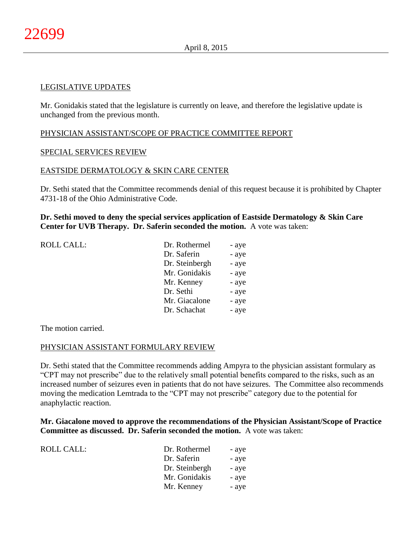### LEGISLATIVE UPDATES

Mr. Gonidakis stated that the legislature is currently on leave, and therefore the legislative update is unchanged from the previous month.

### PHYSICIAN ASSISTANT/SCOPE OF PRACTICE COMMITTEE REPORT

### SPECIAL SERVICES REVIEW

### EASTSIDE DERMATOLOGY & SKIN CARE CENTER

Dr. Sethi stated that the Committee recommends denial of this request because it is prohibited by Chapter 4731-18 of the Ohio Administrative Code.

# **Dr. Sethi moved to deny the special services application of Eastside Dermatology & Skin Care Center for UVB Therapy. Dr. Saferin seconded the motion.** A vote was taken:

| ROLL CALL: | Dr. Rothermel  | - aye |
|------------|----------------|-------|
|            | Dr. Saferin    | - aye |
|            | Dr. Steinbergh | - aye |
|            | Mr. Gonidakis  | - aye |
|            | Mr. Kenney     | - aye |
|            | Dr. Sethi      | - aye |
|            | Mr. Giacalone  | - aye |
|            | Dr. Schachat   | - aye |
|            |                |       |

The motion carried.

#### PHYSICIAN ASSISTANT FORMULARY REVIEW

Dr. Sethi stated that the Committee recommends adding Ampyra to the physician assistant formulary as "CPT may not prescribe" due to the relatively small potential benefits compared to the risks, such as an increased number of seizures even in patients that do not have seizures. The Committee also recommends moving the medication Lemtrada to the "CPT may not prescribe" category due to the potential for anaphylactic reaction.

**Mr. Giacalone moved to approve the recommendations of the Physician Assistant/Scope of Practice Committee as discussed. Dr. Saferin seconded the motion.** A vote was taken:

| Dr. Rothermel  | - aye |
|----------------|-------|
| Dr. Saferin    | - aye |
| Dr. Steinbergh | - aye |
| Mr. Gonidakis  | - aye |
| Mr. Kenney     | - aye |
|                |       |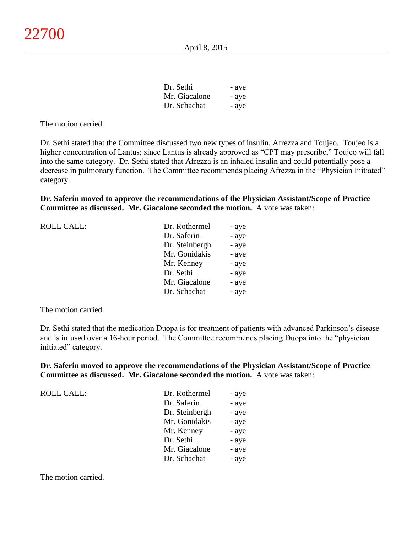| Dr. Sethi     | - aye |
|---------------|-------|
| Mr. Giacalone | - aye |
| Dr. Schachat  | - aye |

The motion carried.

Dr. Sethi stated that the Committee discussed two new types of insulin, Afrezza and Toujeo. Toujeo is a higher concentration of Lantus; since Lantus is already approved as "CPT may prescribe," Toujeo will fall into the same category. Dr. Sethi stated that Afrezza is an inhaled insulin and could potentially pose a decrease in pulmonary function. The Committee recommends placing Afrezza in the "Physician Initiated" category.

**Dr. Saferin moved to approve the recommendations of the Physician Assistant/Scope of Practice Committee as discussed. Mr. Giacalone seconded the motion.** A vote was taken:

| <b>ROLL CALL:</b> | Dr. Rothermel  | - aye |
|-------------------|----------------|-------|
|                   | Dr. Saferin    | - aye |
|                   | Dr. Steinbergh | - aye |
|                   | Mr. Gonidakis  | - aye |
|                   | Mr. Kenney     | - aye |
|                   | Dr. Sethi      | - aye |
|                   | Mr. Giacalone  | - aye |
|                   | Dr. Schachat   | - aye |
|                   |                |       |

The motion carried.

Dr. Sethi stated that the medication Duopa is for treatment of patients with advanced Parkinson's disease and is infused over a 16-hour period. The Committee recommends placing Duopa into the "physician initiated" category.

**Dr. Saferin moved to approve the recommendations of the Physician Assistant/Scope of Practice Committee as discussed. Mr. Giacalone seconded the motion.** A vote was taken:

| <b>ROLL CALL:</b> | Dr. Rothermel  | - aye |
|-------------------|----------------|-------|
|                   | Dr. Saferin    | - aye |
|                   | Dr. Steinbergh | - aye |
|                   | Mr. Gonidakis  | - aye |
|                   | Mr. Kenney     | - aye |
|                   | Dr. Sethi      | - aye |
|                   | Mr. Giacalone  | - aye |
|                   | Dr. Schachat   | - aye |

The motion carried.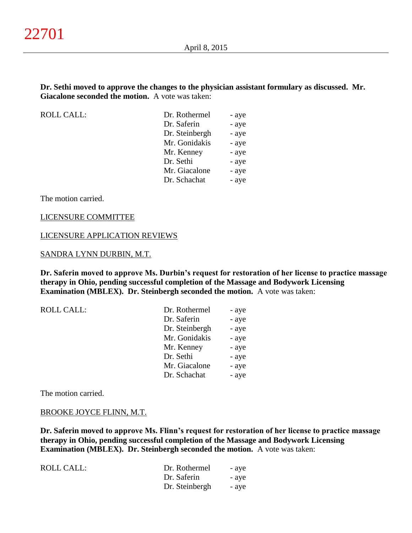### **Dr. Sethi moved to approve the changes to the physician assistant formulary as discussed. Mr. Giacalone seconded the motion.** A vote was taken:

ROLL CALL:

| Dr. Rothermel  | - aye |
|----------------|-------|
| Dr. Saferin    | - aye |
| Dr. Steinbergh | - aye |
| Mr. Gonidakis  | - aye |
| Mr. Kenney     | - aye |
| Dr. Sethi      | - aye |
| Mr. Giacalone  | - aye |
| Dr. Schachat   | - aye |
|                |       |

The motion carried.

#### LICENSURE COMMITTEE

#### LICENSURE APPLICATION REVIEWS

#### SANDRA LYNN DURBIN, M.T.

**Dr. Saferin moved to approve Ms. Durbin's request for restoration of her license to practice massage therapy in Ohio, pending successful completion of the Massage and Bodywork Licensing Examination (MBLEX). Dr. Steinbergh seconded the motion.** A vote was taken:

| Dr. Rothermel  | - aye |
|----------------|-------|
| Dr. Saferin    | - aye |
| Dr. Steinbergh | - aye |
| Mr. Gonidakis  | - aye |
| Mr. Kenney     | - aye |
| Dr. Sethi      | - aye |
| Mr. Giacalone  | - aye |
| Dr. Schachat   | - aye |
|                |       |

The motion carried.

#### BROOKE JOYCE FLINN, M.T.

**Dr. Saferin moved to approve Ms. Flinn's request for restoration of her license to practice massage therapy in Ohio, pending successful completion of the Massage and Bodywork Licensing Examination (MBLEX). Dr. Steinbergh seconded the motion.** A vote was taken:

| <b>ROLL CALL:</b> | Dr. Rothermel  | - ave |
|-------------------|----------------|-------|
|                   | Dr. Saferin    | - ave |
|                   | Dr. Steinbergh | - ave |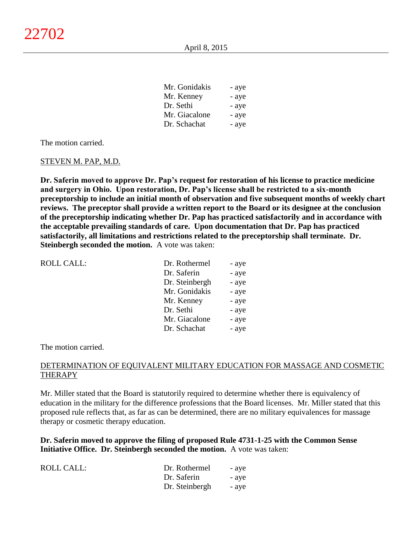| Mr. Gonigakis | - aye |
|---------------|-------|
| Mr. Kenney    | - aye |
| Dr. Sethi     | - aye |
| Mr. Giacalone | - aye |
| Dr. Schachat  | - aye |

 $M_{\odot}$   $\sim$  11<sup> $+$ </sup>

The motion carried.

#### STEVEN M. PAP, M.D.

**Dr. Saferin moved to approve Dr. Pap's request for restoration of his license to practice medicine and surgery in Ohio. Upon restoration, Dr. Pap's license shall be restricted to a six-month preceptorship to include an initial month of observation and five subsequent months of weekly chart reviews. The preceptor shall provide a written report to the Board or its designee at the conclusion of the preceptorship indicating whether Dr. Pap has practiced satisfactorily and in accordance with the acceptable prevailing standards of care. Upon documentation that Dr. Pap has practiced satisfactorily, all limitations and restrictions related to the preceptorship shall terminate. Dr. Steinbergh seconded the motion.** A vote was taken:

| ROLL CALL: | Dr. Rothermel  | - aye |
|------------|----------------|-------|
|            | Dr. Saferin    | - aye |
|            | Dr. Steinbergh | - aye |
|            | Mr. Gonidakis  | - aye |
|            | Mr. Kenney     | - aye |
|            | Dr. Sethi      | - aye |
|            | Mr. Giacalone  | - aye |
|            | Dr. Schachat   | - aye |

The motion carried.

### DETERMINATION OF EQUIVALENT MILITARY EDUCATION FOR MASSAGE AND COSMETIC THERAPY

Mr. Miller stated that the Board is statutorily required to determine whether there is equivalency of education in the military for the difference professions that the Board licenses. Mr. Miller stated that this proposed rule reflects that, as far as can be determined, there are no military equivalences for massage therapy or cosmetic therapy education.

**Dr. Saferin moved to approve the filing of proposed Rule 4731-1-25 with the Common Sense Initiative Office. Dr. Steinbergh seconded the motion.** A vote was taken:

| <b>ROLL CALL:</b> | Dr. Rothermel  | - aye |
|-------------------|----------------|-------|
|                   | Dr. Saferin    | - aye |
|                   | Dr. Steinbergh | - aye |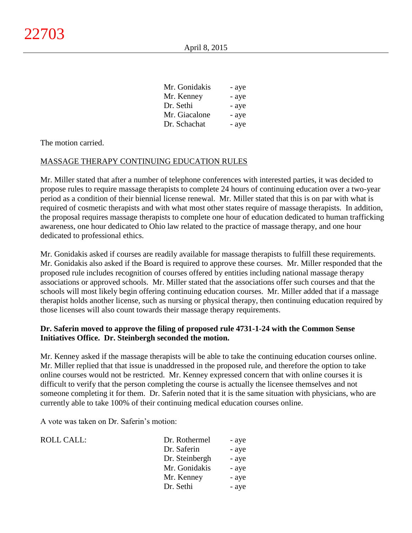| - aye |
|-------|
| - aye |
| - aye |
| - aye |
| - aye |
|       |

The motion carried.

### MASSAGE THERAPY CONTINUING EDUCATION RULES

Mr. Miller stated that after a number of telephone conferences with interested parties, it was decided to propose rules to require massage therapists to complete 24 hours of continuing education over a two-year period as a condition of their biennial license renewal. Mr. Miller stated that this is on par with what is required of cosmetic therapists and with what most other states require of massage therapists. In addition, the proposal requires massage therapists to complete one hour of education dedicated to human trafficking awareness, one hour dedicated to Ohio law related to the practice of massage therapy, and one hour dedicated to professional ethics.

Mr. Gonidakis asked if courses are readily available for massage therapists to fulfill these requirements. Mr. Gonidakis also asked if the Board is required to approve these courses. Mr. Miller responded that the proposed rule includes recognition of courses offered by entities including national massage therapy associations or approved schools. Mr. Miller stated that the associations offer such courses and that the schools will most likely begin offering continuing education courses. Mr. Miller added that if a massage therapist holds another license, such as nursing or physical therapy, then continuing education required by those licenses will also count towards their massage therapy requirements.

# **Dr. Saferin moved to approve the filing of proposed rule 4731-1-24 with the Common Sense Initiatives Office. Dr. Steinbergh seconded the motion.**

Mr. Kenney asked if the massage therapists will be able to take the continuing education courses online. Mr. Miller replied that that issue is unaddressed in the proposed rule, and therefore the option to take online courses would not be restricted. Mr. Kenney expressed concern that with online courses it is difficult to verify that the person completing the course is actually the licensee themselves and not someone completing it for them. Dr. Saferin noted that it is the same situation with physicians, who are currently able to take 100% of their continuing medical education courses online.

A vote was taken on Dr. Saferin's motion:

| <b>ROLL CALL:</b> | Dr. Rothermel  | - aye |
|-------------------|----------------|-------|
|                   | Dr. Saferin    | - aye |
|                   | Dr. Steinbergh | - aye |
|                   | Mr. Gonidakis  | - aye |
|                   | Mr. Kenney     | - aye |
|                   | Dr. Sethi      | - aye |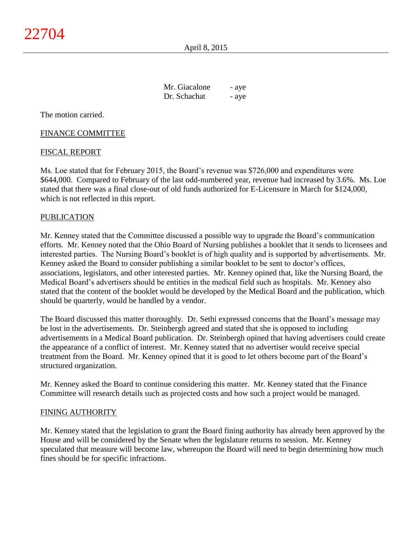April 8, 2015

| Mr. Giacalone | - aye |
|---------------|-------|
| Dr. Schachat  | - aye |

The motion carried.

# FINANCE COMMITTEE

# FISCAL REPORT

Ms. Loe stated that for February 2015, the Board's revenue was \$726,000 and expenditures were \$644,000. Compared to February of the last odd-numbered year, revenue had increased by 3.6%. Ms. Loe stated that there was a final close-out of old funds authorized for E-Licensure in March for \$124,000, which is not reflected in this report.

### PUBLICATION

Mr. Kenney stated that the Committee discussed a possible way to upgrade the Board's communication efforts. Mr. Kenney noted that the Ohio Board of Nursing publishes a booklet that it sends to licensees and interested parties. The Nursing Board's booklet is of high quality and is supported by advertisements. Mr. Kenney asked the Board to consider publishing a similar booklet to be sent to doctor's offices, associations, legislators, and other interested parties. Mr. Kenney opined that, like the Nursing Board, the Medical Board's advertisers should be entities in the medical field such as hospitals. Mr. Kenney also stated that the content of the booklet would be developed by the Medical Board and the publication, which should be quarterly, would be handled by a vendor.

The Board discussed this matter thoroughly. Dr. Sethi expressed concerns that the Board's message may be lost in the advertisements. Dr. Steinbergh agreed and stated that she is opposed to including advertisements in a Medical Board publication. Dr. Steinbergh opined that having advertisers could create the appearance of a conflict of interest. Mr. Kenney stated that no advertiser would receive special treatment from the Board. Mr. Kenney opined that it is good to let others become part of the Board's structured organization.

Mr. Kenney asked the Board to continue considering this matter. Mr. Kenney stated that the Finance Committee will research details such as projected costs and how such a project would be managed.

### FINING AUTHORITY

Mr. Kenney stated that the legislation to grant the Board fining authority has already been approved by the House and will be considered by the Senate when the legislature returns to session. Mr. Kenney speculated that measure will become law, whereupon the Board will need to begin determining how much fines should be for specific infractions.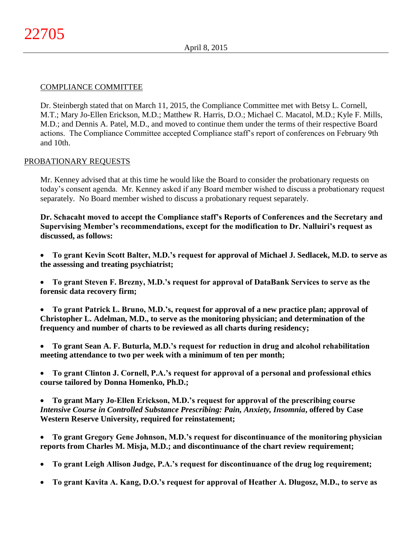# COMPLIANCE COMMITTEE

Dr. Steinbergh stated that on March 11, 2015, the Compliance Committee met with Betsy L. Cornell, M.T.; Mary Jo-Ellen Erickson, M.D.; Matthew R. Harris, D.O.; Michael C. Macatol, M.D.; Kyle F. Mills, M.D.; and Dennis A. Patel, M.D., and moved to continue them under the terms of their respective Board actions. The Compliance Committee accepted Compliance staff's report of conferences on February 9th and 10th.

# PROBATIONARY REQUESTS

Mr. Kenney advised that at this time he would like the Board to consider the probationary requests on today's consent agenda. Mr. Kenney asked if any Board member wished to discuss a probationary request separately. No Board member wished to discuss a probationary request separately.

**Dr. Schacaht moved to accept the Compliance staff's Reports of Conferences and the Secretary and Supervising Member's recommendations, except for the modification to Dr. Nalluiri's request as discussed, as follows:**

- **To grant Kevin Scott Balter, M.D.'s request for approval of Michael J. Sedlacek, M.D. to serve as the assessing and treating psychiatrist;**
- **To grant Steven F. Brezny, M.D.'s request for approval of DataBank Services to serve as the forensic data recovery firm;**
- **To grant Patrick L. Bruno, M.D.'s, request for approval of a new practice plan; approval of Christopher L. Adelman, M.D., to serve as the monitoring physician; and determination of the frequency and number of charts to be reviewed as all charts during residency;**
- **To grant Sean A. F. Buturla, M.D.'s request for reduction in drug and alcohol rehabilitation meeting attendance to two per week with a minimum of ten per month;**
- **To grant Clinton J. Cornell, P.A.'s request for approval of a personal and professional ethics course tailored by Donna Homenko, Ph.D.;**
- **To grant Mary Jo-Ellen Erickson, M.D.'s request for approval of the prescribing course**  *Intensive Course in Controlled Substance Prescribing: Pain, Anxiety, Insomnia***, offered by Case Western Reserve University, required for reinstatement;**
- **To grant Gregory Gene Johnson, M.D.'s request for discontinuance of the monitoring physician reports from Charles M. Misja, M.D.; and discontinuance of the chart review requirement;**
- **To grant Leigh Allison Judge, P.A.'s request for discontinuance of the drug log requirement;**
- **To grant Kavita A. Kang, D.O.'s request for approval of Heather A. Dlugosz, M.D., to serve as**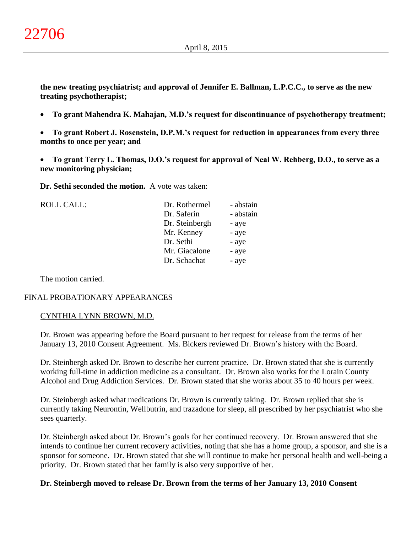**the new treating psychiatrist; and approval of Jennifer E. Ballman, L.P.C.C., to serve as the new treating psychotherapist;**

- **To grant Mahendra K. Mahajan, M.D.'s request for discontinuance of psychotherapy treatment;**
- **To grant Robert J. Rosenstein, D.P.M.'s request for reduction in appearances from every three months to once per year; and**
- **To grant Terry L. Thomas, D.O.'s request for approval of Neal W. Rehberg, D.O., to serve as a new monitoring physician;**

**Dr. Sethi seconded the motion.** A vote was taken:

ROLL CALL:

| Dr. Rothermel  | - abstain |
|----------------|-----------|
| Dr. Saferin    | - abstain |
| Dr. Steinbergh | - aye     |
| Mr. Kenney     | - aye     |
| Dr. Sethi      | - aye     |
| Mr. Giacalone  | - aye     |
| Dr. Schachat   | - aye     |
|                |           |

The motion carried.

### FINAL PROBATIONARY APPEARANCES

### CYNTHIA LYNN BROWN, M.D.

Dr. Brown was appearing before the Board pursuant to her request for release from the terms of her January 13, 2010 Consent Agreement. Ms. Bickers reviewed Dr. Brown's history with the Board.

Dr. Steinbergh asked Dr. Brown to describe her current practice. Dr. Brown stated that she is currently working full-time in addiction medicine as a consultant. Dr. Brown also works for the Lorain County Alcohol and Drug Addiction Services. Dr. Brown stated that she works about 35 to 40 hours per week.

Dr. Steinbergh asked what medications Dr. Brown is currently taking. Dr. Brown replied that she is currently taking Neurontin, Wellbutrin, and trazadone for sleep, all prescribed by her psychiatrist who she sees quarterly.

Dr. Steinbergh asked about Dr. Brown's goals for her continued recovery. Dr. Brown answered that she intends to continue her current recovery activities, noting that she has a home group, a sponsor, and she is a sponsor for someone. Dr. Brown stated that she will continue to make her personal health and well-being a priority. Dr. Brown stated that her family is also very supportive of her.

#### **Dr. Steinbergh moved to release Dr. Brown from the terms of her January 13, 2010 Consent**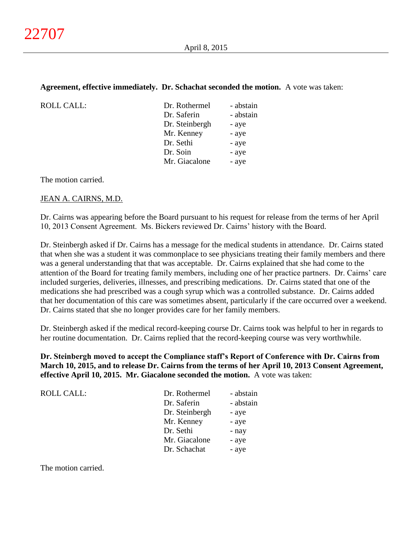### **Agreement, effective immediately. Dr. Schachat seconded the motion.** A vote was taken:

| <b>ROLL CALL:</b> |  |
|-------------------|--|
|                   |  |

| ROLL CALL: | Dr. Rothermel  | - abstain |
|------------|----------------|-----------|
|            | Dr. Saferin    | - abstain |
|            | Dr. Steinbergh | - aye     |
|            | Mr. Kenney     | - aye     |
|            | Dr. Sethi      | - aye     |
|            | Dr. Soin       | - aye     |
|            | Mr. Giacalone  | - aye     |
|            |                |           |

The motion carried.

### JEAN A. CAIRNS, M.D.

Dr. Cairns was appearing before the Board pursuant to his request for release from the terms of her April 10, 2013 Consent Agreement. Ms. Bickers reviewed Dr. Cairns' history with the Board.

Dr. Steinbergh asked if Dr. Cairns has a message for the medical students in attendance. Dr. Cairns stated that when she was a student it was commonplace to see physicians treating their family members and there was a general understanding that that was acceptable. Dr. Cairns explained that she had come to the attention of the Board for treating family members, including one of her practice partners. Dr. Cairns' care included surgeries, deliveries, illnesses, and prescribing medications. Dr. Cairns stated that one of the medications she had prescribed was a cough syrup which was a controlled substance. Dr. Cairns added that her documentation of this care was sometimes absent, particularly if the care occurred over a weekend. Dr. Cairns stated that she no longer provides care for her family members.

Dr. Steinbergh asked if the medical record-keeping course Dr. Cairns took was helpful to her in regards to her routine documentation. Dr. Cairns replied that the record-keeping course was very worthwhile.

**Dr. Steinbergh moved to accept the Compliance staff's Report of Conference with Dr. Cairns from March 10, 2015, and to release Dr. Cairns from the terms of her April 10, 2013 Consent Agreement, effective April 10, 2015. Mr. Giacalone seconded the motion.** A vote was taken:

| <b>ROLL CALL:</b> | Dr. Rothermel  | - abstain |
|-------------------|----------------|-----------|
|                   | Dr. Saferin    | - abstain |
|                   | Dr. Steinbergh | - aye     |
|                   | Mr. Kenney     | - aye     |
|                   | Dr. Sethi      | - nay     |
|                   | Mr. Giacalone  | - aye     |
|                   | Dr. Schachat   | - aye     |

The motion carried.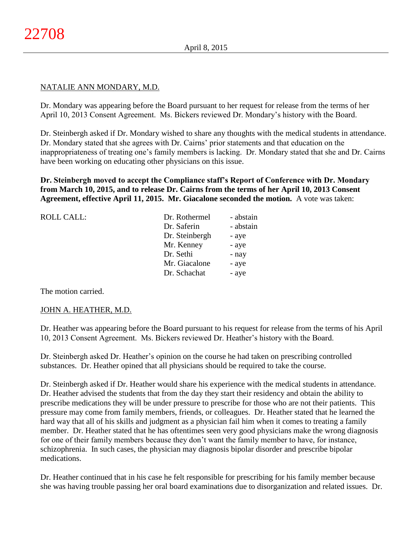### NATALIE ANN MONDARY, M.D.

Dr. Mondary was appearing before the Board pursuant to her request for release from the terms of her April 10, 2013 Consent Agreement. Ms. Bickers reviewed Dr. Mondary's history with the Board.

Dr. Steinbergh asked if Dr. Mondary wished to share any thoughts with the medical students in attendance. Dr. Mondary stated that she agrees with Dr. Cairns' prior statements and that education on the inappropriateness of treating one's family members is lacking. Dr. Mondary stated that she and Dr. Cairns have been working on educating other physicians on this issue.

**Dr. Steinbergh moved to accept the Compliance staff's Report of Conference with Dr. Mondary from March 10, 2015, and to release Dr. Cairns from the terms of her April 10, 2013 Consent Agreement, effective April 11, 2015. Mr. Giacalone seconded the motion.** A vote was taken:

| <b>ROLL CALL:</b> | Dr. Rothermel  | - abstain |
|-------------------|----------------|-----------|
|                   | Dr. Saferin    | - abstain |
|                   | Dr. Steinbergh | - aye     |
|                   | Mr. Kenney     | - aye     |
|                   | Dr. Sethi      | - nay     |
|                   | Mr. Giacalone  | - aye     |
|                   | Dr. Schachat   | - aye     |
|                   |                |           |

The motion carried.

#### JOHN A. HEATHER, M.D.

Dr. Heather was appearing before the Board pursuant to his request for release from the terms of his April 10, 2013 Consent Agreement. Ms. Bickers reviewed Dr. Heather's history with the Board.

Dr. Steinbergh asked Dr. Heather's opinion on the course he had taken on prescribing controlled substances. Dr. Heather opined that all physicians should be required to take the course.

Dr. Steinbergh asked if Dr. Heather would share his experience with the medical students in attendance. Dr. Heather advised the students that from the day they start their residency and obtain the ability to prescribe medications they will be under pressure to prescribe for those who are not their patients. This pressure may come from family members, friends, or colleagues. Dr. Heather stated that he learned the hard way that all of his skills and judgment as a physician fail him when it comes to treating a family member. Dr. Heather stated that he has oftentimes seen very good physicians make the wrong diagnosis for one of their family members because they don't want the family member to have, for instance, schizophrenia. In such cases, the physician may diagnosis bipolar disorder and prescribe bipolar medications.

Dr. Heather continued that in his case he felt responsible for prescribing for his family member because she was having trouble passing her oral board examinations due to disorganization and related issues. Dr.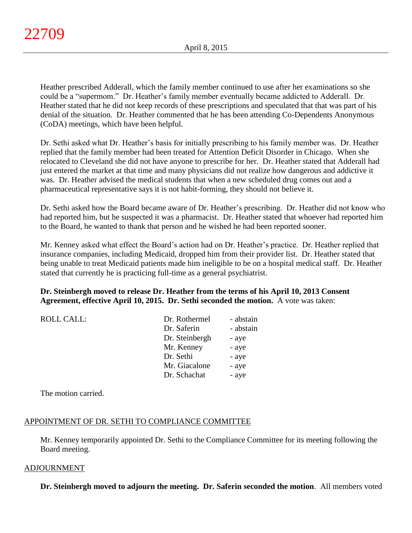Heather prescribed Adderall, which the family member continued to use after her examinations so she could be a "supermom." Dr. Heather's family member eventually became addicted to Adderall. Dr. Heather stated that he did not keep records of these prescriptions and speculated that that was part of his denial of the situation. Dr. Heather commented that he has been attending Co-Dependents Anonymous (CoDA) meetings, which have been helpful.

Dr. Sethi asked what Dr. Heather's basis for initially prescribing to his family member was. Dr. Heather replied that the family member had been treated for Attention Deficit Disorder in Chicago. When she relocated to Cleveland she did not have anyone to prescribe for her. Dr. Heather stated that Adderall had just entered the market at that time and many physicians did not realize how dangerous and addictive it was. Dr. Heather advised the medical students that when a new scheduled drug comes out and a pharmaceutical representative says it is not habit-forming, they should not believe it.

Dr. Sethi asked how the Board became aware of Dr. Heather's prescribing. Dr. Heather did not know who had reported him, but he suspected it was a pharmacist. Dr. Heather stated that whoever had reported him to the Board, he wanted to thank that person and he wished he had been reported sooner.

Mr. Kenney asked what effect the Board's action had on Dr. Heather's practice. Dr. Heather replied that insurance companies, including Medicaid, dropped him from their provider list. Dr. Heather stated that being unable to treat Medicaid patients made him ineligible to be on a hospital medical staff. Dr. Heather stated that currently he is practicing full-time as a general psychiatrist.

**Dr. Steinbergh moved to release Dr. Heather from the terms of his April 10, 2013 Consent Agreement, effective April 10, 2015. Dr. Sethi seconded the motion.** A vote was taken:

| Dr. Rothermel  | - abstain |
|----------------|-----------|
| Dr. Saferin    | - abstain |
| Dr. Steinbergh | - aye     |
| Mr. Kenney     | - aye     |
| Dr. Sethi      | - aye     |
| Mr. Giacalone  | - aye     |
| Dr. Schachat   | - aye     |
|                |           |

The motion carried.

ROLL CALL:

### APPOINTMENT OF DR. SETHI TO COMPLIANCE COMMITTEE

Mr. Kenney temporarily appointed Dr. Sethi to the Compliance Committee for its meeting following the Board meeting.

#### ADJOURNMENT

**Dr. Steinbergh moved to adjourn the meeting. Dr. Saferin seconded the motion**. All members voted